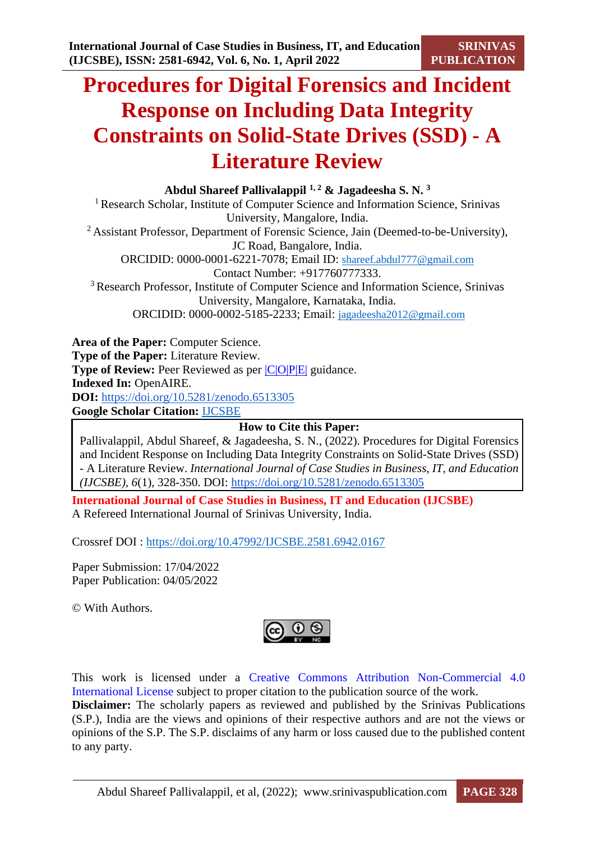**SRINIVAS PUBLICATION**

# **Procedures for Digital Forensics and Incident Response on Including Data Integrity Constraints on Solid-State Drives (SSD) - A Literature Review**

**Abdul Shareef Pallivalappil 1, 2 & Jagadeesha S. N. <sup>3</sup>** <sup>1</sup> Research Scholar, Institute of Computer Science and Information Science, Srinivas University, Mangalore, India. <sup>2</sup> Assistant Professor, Department of Forensic Science, Jain (Deemed-to-be-University), JC Road, Bangalore, India. ORCIDID: 0000-0001-6221-7078; Email ID: [shareef.abdul777@gmail.com](mailto:shareef.abdul777@gmail.com) Contact Number: +917760777333. <sup>3</sup> Research Professor, Institute of Computer Science and Information Science, Srinivas University, Mangalore, Karnataka, India. ORCIDID: 0000-0002-5185-2233; Email: [jagadeesha2012@gmail.com](mailto:jagadeesha2012@gmail.com)

**Area of the Paper:** Computer Science. **Type of the Paper:** Literature Review. **Type of Review:** Peer Reviewed as per  $|C|Q|P|E|$  guidance. **Indexed In:** OpenAIRE. **DOI:** <https://doi.org/10.5281/zenodo.6513305> **Google Scholar Citation:** [IJCSBE](https://scholar.google.com/citations?user=yGYPA1MAAAAJ)

**How to Cite this Paper:**

Pallivalappil, Abdul Shareef, & Jagadeesha, S. N., (2022). Procedures for Digital Forensics and Incident Response on Including Data Integrity Constraints on Solid-State Drives (SSD) - A Literature Review. *International Journal of Case Studies in Business, IT, and Education (IJCSBE), 6*(1), 328-350. DOI: <https://doi.org/10.5281/zenodo.6513305>

**International Journal of Case Studies in Business, IT and Education (IJCSBE)** A Refereed International Journal of Srinivas University, India.

Crossref DOI : [https://doi.org/10.47992/IJCSBE.2581.6942.0167](https://search.crossref.org/?q=10.47992%2FIJCSBE.2581.6942.0167&from_ui=yes)

Paper Submission: 17/04/2022 Paper Publication: 04/05/2022

© With Authors.



This work is licensed under a Creative Commons Attribution Non-Commercial 4.0 International License subject to proper citation to the publication source of the work. **Disclaimer:** The scholarly papers as reviewed and published by the Srinivas Publications (S.P.), India are the views and opinions of their respective authors and are not the views or opinions of the S.P. The S.P. disclaims of any harm or loss caused due to the published content to any party.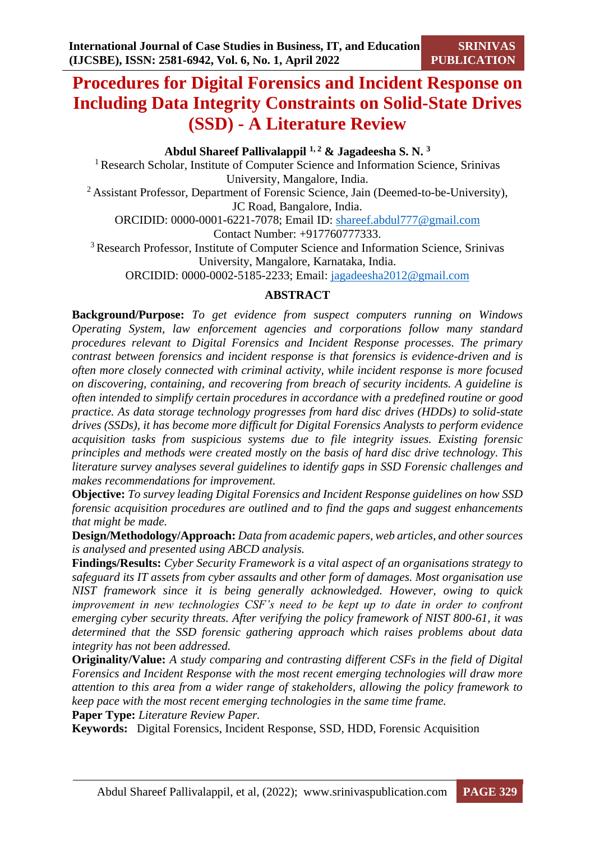# **Procedures for Digital Forensics and Incident Response on Including Data Integrity Constraints on Solid-State Drives (SSD) - A Literature Review**

# **Abdul Shareef Pallivalappil 1, 2 & Jagadeesha S. N. <sup>3</sup>**

<sup>1</sup> Research Scholar, Institute of Computer Science and Information Science, Srinivas University, Mangalore, India. <sup>2</sup> Assistant Professor, Department of Forensic Science, Jain (Deemed-to-be-University), JC Road, Bangalore, India. ORCIDID: 0000-0001-6221-7078; Email ID: [shareef.abdul777@gmail.com](mailto:shareef.abdul777@gmail.com) Contact Number: +917760777333. <sup>3</sup>Research Professor, Institute of Computer Science and Information Science, Srinivas University, Mangalore, Karnataka, India. ORCIDID: 0000-0002-5185-2233; Email: [jagadeesha2012@gmail.com](mailto:jagadeesha2012@gmail.com)

#### **ABSTRACT**

**Background/Purpose:** *To get evidence from suspect computers running on Windows Operating System, law enforcement agencies and corporations follow many standard procedures relevant to Digital Forensics and Incident Response processes. The primary contrast between forensics and incident response is that forensics is evidence-driven and is often more closely connected with criminal activity, while incident response is more focused on discovering, containing, and recovering from breach of security incidents. A guideline is often intended to simplify certain procedures in accordance with a predefined routine or good practice. As data storage technology progresses from hard disc drives (HDDs) to solid-state drives (SSDs), it has become more difficult for Digital Forensics Analysts to perform evidence acquisition tasks from suspicious systems due to file integrity issues. Existing forensic principles and methods were created mostly on the basis of hard disc drive technology. This literature survey analyses several guidelines to identify gaps in SSD Forensic challenges and makes recommendations for improvement.* 

**Objective:** *To survey leading Digital Forensics and Incident Response guidelines on how SSD forensic acquisition procedures are outlined and to find the gaps and suggest enhancements that might be made.*

**Design/Methodology/Approach:** *Data from academic papers, web articles, and other sources is analysed and presented using ABCD analysis.*

**Findings/Results:** *Cyber Security Framework is a vital aspect of an organisations strategy to safeguard its IT assets from cyber assaults and other form of damages. Most organisation use NIST framework since it is being generally acknowledged. However, owing to quick improvement in new technologies CSF's need to be kept up to date in order to confront emerging cyber security threats. After verifying the policy framework of NIST 800-61, it was determined that the SSD forensic gathering approach which raises problems about data integrity has not been addressed.*

**Originality/Value:** *A study comparing and contrasting different CSFs in the field of Digital Forensics and Incident Response with the most recent emerging technologies will draw more attention to this area from a wider range of stakeholders, allowing the policy framework to keep pace with the most recent emerging technologies in the same time frame.*

**Paper Type:** *Literature Review Paper.*

**Keywords:** Digital Forensics, Incident Response, SSD, HDD, Forensic Acquisition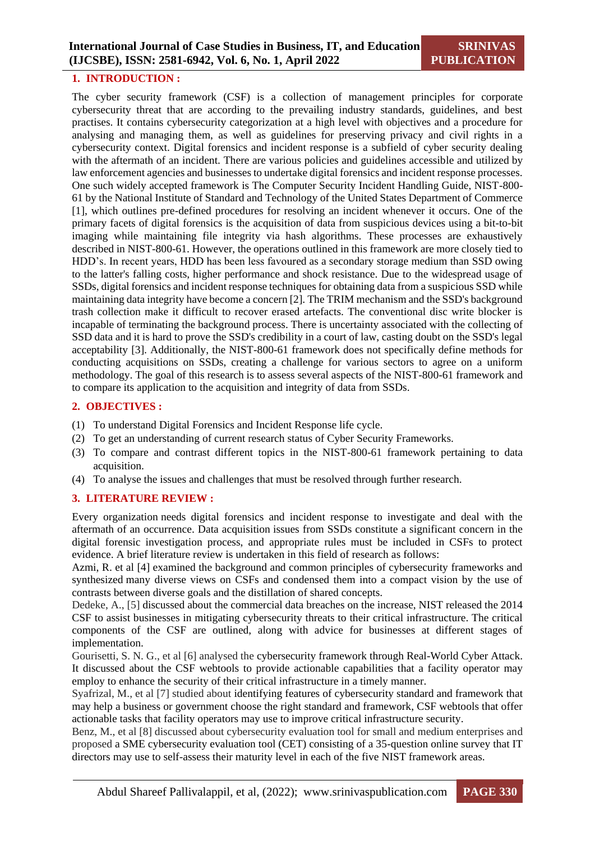#### **1. INTRODUCTION :**

The cyber security framework (CSF) is a collection of management principles for corporate cybersecurity threat that are according to the prevailing industry standards, guidelines, and best practises. It contains cybersecurity categorization at a high level with objectives and a procedure for analysing and managing them, as well as guidelines for preserving privacy and civil rights in a cybersecurity context. Digital forensics and incident response is a subfield of cyber security dealing with the aftermath of an incident. There are various policies and guidelines accessible and utilized by law enforcement agencies and businesses to undertake digital forensics and incident response processes. One such widely accepted framework is The Computer Security Incident Handling Guide, NIST-800- 61 by the National Institute of Standard and Technology of the United States Department of Commerce [1], which outlines pre-defined procedures for resolving an incident whenever it occurs. One of the primary facets of digital forensics is the acquisition of data from suspicious devices using a bit-to-bit imaging while maintaining file integrity via hash algorithms. These processes are exhaustively described in NIST-800-61. However, the operations outlined in this framework are more closely tied to HDD's. In recent years, HDD has been less favoured as a secondary storage medium than SSD owing to the latter's falling costs, higher performance and shock resistance. Due to the widespread usage of SSDs, digital forensics and incident response techniques for obtaining data from a suspicious SSD while maintaining data integrity have become a concern [2]. The TRIM mechanism and the SSD's background trash collection make it difficult to recover erased artefacts. The conventional disc write blocker is incapable of terminating the background process. There is uncertainty associated with the collecting of SSD data and it is hard to prove the SSD's credibility in a court of law, casting doubt on the SSD's legal acceptability [3]. Additionally, the NIST-800-61 framework does not specifically define methods for conducting acquisitions on SSDs, creating a challenge for various sectors to agree on a uniform methodology. The goal of this research is to assess several aspects of the NIST-800-61 framework and to compare its application to the acquisition and integrity of data from SSDs.

#### **2. OBJECTIVES :**

- (1) To understand Digital Forensics and Incident Response life cycle.
- (2) To get an understanding of current research status of Cyber Security Frameworks.
- (3) To compare and contrast different topics in the NIST-800-61 framework pertaining to data acquisition.
- (4) To analyse the issues and challenges that must be resolved through further research.

#### **3. LITERATURE REVIEW :**

Every organization needs digital forensics and incident response to investigate and deal with the aftermath of an occurrence. Data acquisition issues from SSDs constitute a significant concern in the digital forensic investigation process, and appropriate rules must be included in CSFs to protect evidence. A brief literature review is undertaken in this field of research as follows:

Azmi, R. et al [4] examined the background and common principles of cybersecurity frameworks and synthesized many diverse views on CSFs and condensed them into a compact vision by the use of contrasts between diverse goals and the distillation of shared concepts.

Dedeke, A., [5] discussed about the commercial data breaches on the increase, NIST released the 2014 CSF to assist businesses in mitigating cybersecurity threats to their critical infrastructure. The critical components of the CSF are outlined, along with advice for businesses at different stages of implementation.

Gourisetti, S. N. G., et al [6] analysed the cybersecurity framework through Real-World Cyber Attack. It discussed about the CSF webtools to provide actionable capabilities that a facility operator may employ to enhance the security of their critical infrastructure in a timely manner.

Syafrizal, M., et al [7] studied about identifying features of cybersecurity standard and framework that may help a business or government choose the right standard and framework, CSF webtools that offer actionable tasks that facility operators may use to improve critical infrastructure security.

Benz, M., et al [8] discussed about cybersecurity evaluation tool for small and medium enterprises and proposed a SME cybersecurity evaluation tool (CET) consisting of a 35-question online survey that IT directors may use to self-assess their maturity level in each of the five NIST framework areas.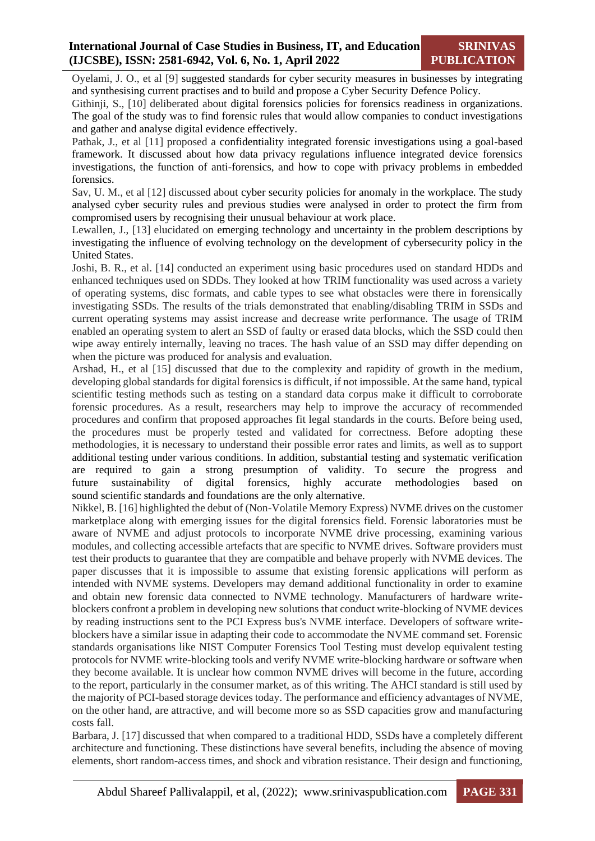Oyelami, J. O., et al [9] suggested standards for cyber security measures in businesses by integrating and synthesising current practises and to build and propose a Cyber Security Defence Policy.

Githinji, S., [10] deliberated about digital forensics policies for forensics readiness in organizations. The goal of the study was to find forensic rules that would allow companies to conduct investigations and gather and analyse digital evidence effectively.

Pathak, J., et al [11] proposed a confidentiality integrated forensic investigations using a goal-based framework. It discussed about how data privacy regulations influence integrated device forensics investigations, the function of anti-forensics, and how to cope with privacy problems in embedded forensics.

Sav, U. M., et al [12] discussed about cyber security policies for anomaly in the workplace. The study analysed cyber security rules and previous studies were analysed in order to protect the firm from compromised users by recognising their unusual behaviour at work place.

Lewallen, J., [13] elucidated on emerging technology and uncertainty in the problem descriptions by investigating the influence of evolving technology on the development of cybersecurity policy in the United States.

Joshi, B. R., et al. [14] conducted an experiment using basic procedures used on standard HDDs and enhanced techniques used on SDDs. They looked at how TRIM functionality was used across a variety of operating systems, disc formats, and cable types to see what obstacles were there in forensically investigating SSDs. The results of the trials demonstrated that enabling/disabling TRIM in SSDs and current operating systems may assist increase and decrease write performance. The usage of TRIM enabled an operating system to alert an SSD of faulty or erased data blocks, which the SSD could then wipe away entirely internally, leaving no traces. The hash value of an SSD may differ depending on when the picture was produced for analysis and evaluation.

Arshad, H., et al [15] discussed that due to the complexity and rapidity of growth in the medium, developing global standards for digital forensics is difficult, if not impossible. At the same hand, typical scientific testing methods such as testing on a standard data corpus make it difficult to corroborate forensic procedures. As a result, researchers may help to improve the accuracy of recommended procedures and confirm that proposed approaches fit legal standards in the courts. Before being used, the procedures must be properly tested and validated for correctness. Before adopting these methodologies, it is necessary to understand their possible error rates and limits, as well as to support additional testing under various conditions. In addition, substantial testing and systematic verification are required to gain a strong presumption of validity. To secure the progress and future sustainability of digital forensics, highly accurate methodologies based on sound scientific standards and foundations are the only alternative.

Nikkel, B. [16] highlighted the debut of (Non-Volatile Memory Express) NVME drives on the customer marketplace along with emerging issues for the digital forensics field. Forensic laboratories must be aware of NVME and adjust protocols to incorporate NVME drive processing, examining various modules, and collecting accessible artefacts that are specific to NVME drives. Software providers must test their products to guarantee that they are compatible and behave properly with NVME devices. The paper discusses that it is impossible to assume that existing forensic applications will perform as intended with NVME systems. Developers may demand additional functionality in order to examine and obtain new forensic data connected to NVME technology. Manufacturers of hardware writeblockers confront a problem in developing new solutions that conduct write-blocking of NVME devices by reading instructions sent to the PCI Express bus's NVME interface. Developers of software writeblockers have a similar issue in adapting their code to accommodate the NVME command set. Forensic standards organisations like NIST Computer Forensics Tool Testing must develop equivalent testing protocols for NVME write-blocking tools and verify NVME write-blocking hardware or software when they become available. It is unclear how common NVME drives will become in the future, according to the report, particularly in the consumer market, as of this writing. The AHCI standard is still used by the majority of PCI-based storage devices today. The performance and efficiency advantages of NVME, on the other hand, are attractive, and will become more so as SSD capacities grow and manufacturing costs fall.

Barbara, J. [17] discussed that when compared to a traditional HDD, SSDs have a completely different architecture and functioning. These distinctions have several benefits, including the absence of moving elements, short random-access times, and shock and vibration resistance. Their design and functioning,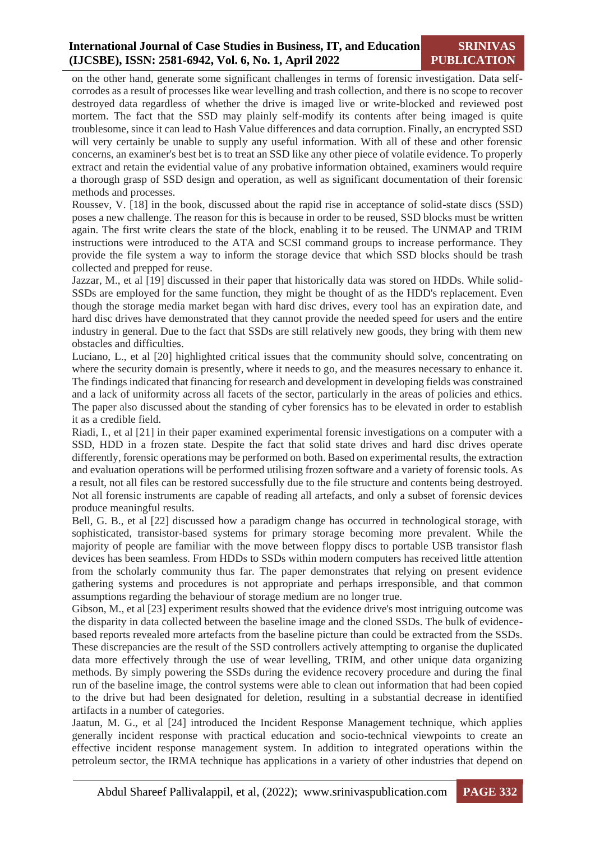# **International Journal of Case Studies in Business, IT, and Education (IJCSBE), ISSN: 2581-6942, Vol. 6, No. 1, April 2022**

**SRINIVAS PUBLICATION**

on the other hand, generate some significant challenges in terms of forensic investigation. Data selfcorrodes as a result of processes like wear levelling and trash collection, and there is no scope to recover destroyed data regardless of whether the drive is imaged live or write-blocked and reviewed post mortem. The fact that the SSD may plainly self-modify its contents after being imaged is quite troublesome, since it can lead to Hash Value differences and data corruption. Finally, an encrypted SSD will very certainly be unable to supply any useful information. With all of these and other forensic concerns, an examiner's best bet is to treat an SSD like any other piece of volatile evidence. To properly extract and retain the evidential value of any probative information obtained, examiners would require a thorough grasp of SSD design and operation, as well as significant documentation of their forensic methods and processes.

Roussev, V. [18] in the book, discussed about the rapid rise in acceptance of solid-state discs (SSD) poses a new challenge. The reason for this is because in order to be reused, SSD blocks must be written again. The first write clears the state of the block, enabling it to be reused. The UNMAP and TRIM instructions were introduced to the ATA and SCSI command groups to increase performance. They provide the file system a way to inform the storage device that which SSD blocks should be trash collected and prepped for reuse.

Jazzar, M., et al [19] discussed in their paper that historically data was stored on HDDs. While solid-SSDs are employed for the same function, they might be thought of as the HDD's replacement. Even though the storage media market began with hard disc drives, every tool has an expiration date, and hard disc drives have demonstrated that they cannot provide the needed speed for users and the entire industry in general. Due to the fact that SSDs are still relatively new goods, they bring with them new obstacles and difficulties.

Luciano, L., et al [20] highlighted critical issues that the community should solve, concentrating on where the security domain is presently, where it needs to go, and the measures necessary to enhance it. The findings indicated that financing for research and development in developing fields was constrained and a lack of uniformity across all facets of the sector, particularly in the areas of policies and ethics. The paper also discussed about the standing of cyber forensics has to be elevated in order to establish it as a credible field.

Riadi, I., et al [21] in their paper examined experimental forensic investigations on a computer with a SSD, HDD in a frozen state. Despite the fact that solid state drives and hard disc drives operate differently, forensic operations may be performed on both. Based on experimental results, the extraction and evaluation operations will be performed utilising frozen software and a variety of forensic tools. As a result, not all files can be restored successfully due to the file structure and contents being destroyed. Not all forensic instruments are capable of reading all artefacts, and only a subset of forensic devices produce meaningful results.

Bell, G. B., et al [22] discussed how a paradigm change has occurred in technological storage, with sophisticated, transistor-based systems for primary storage becoming more prevalent. While the majority of people are familiar with the move between floppy discs to portable USB transistor flash devices has been seamless. From HDDs to SSDs within modern computers has received little attention from the scholarly community thus far. The paper demonstrates that relying on present evidence gathering systems and procedures is not appropriate and perhaps irresponsible, and that common assumptions regarding the behaviour of storage medium are no longer true.

Gibson, M., et al [23] experiment results showed that the evidence drive's most intriguing outcome was the disparity in data collected between the baseline image and the cloned SSDs. The bulk of evidencebased reports revealed more artefacts from the baseline picture than could be extracted from the SSDs. These discrepancies are the result of the SSD controllers actively attempting to organise the duplicated data more effectively through the use of wear levelling, TRIM, and other unique data organizing methods. By simply powering the SSDs during the evidence recovery procedure and during the final run of the baseline image, the control systems were able to clean out information that had been copied to the drive but had been designated for deletion, resulting in a substantial decrease in identified artifacts in a number of categories.

Jaatun, M. G., et al [24] introduced the Incident Response Management technique, which applies generally incident response with practical education and socio-technical viewpoints to create an effective incident response management system. In addition to integrated operations within the petroleum sector, the IRMA technique has applications in a variety of other industries that depend on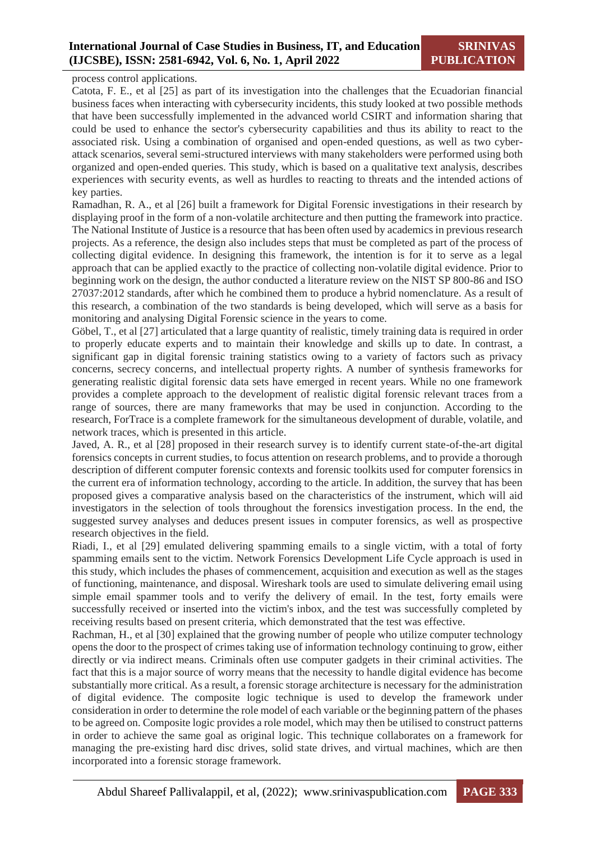### **International Journal of Case Studies in Business, IT, and Education (IJCSBE), ISSN: 2581-6942, Vol. 6, No. 1, April 2022**

process control applications.

Catota, F. E., et al [25] as part of its investigation into the challenges that the Ecuadorian financial business faces when interacting with cybersecurity incidents, this study looked at two possible methods that have been successfully implemented in the advanced world CSIRT and information sharing that could be used to enhance the sector's cybersecurity capabilities and thus its ability to react to the associated risk. Using a combination of organised and open-ended questions, as well as two cyberattack scenarios, several semi-structured interviews with many stakeholders were performed using both organized and open-ended queries. This study, which is based on a qualitative text analysis, describes experiences with security events, as well as hurdles to reacting to threats and the intended actions of key parties.

Ramadhan, R. A., et al [26] built a framework for Digital Forensic investigations in their research by displaying proof in the form of a non-volatile architecture and then putting the framework into practice. The National Institute of Justice is a resource that has been often used by academics in previous research projects. As a reference, the design also includes steps that must be completed as part of the process of collecting digital evidence. In designing this framework, the intention is for it to serve as a legal approach that can be applied exactly to the practice of collecting non-volatile digital evidence. Prior to beginning work on the design, the author conducted a literature review on the NIST SP 800-86 and ISO 27037:2012 standards, after which he combined them to produce a hybrid nomenclature. As a result of this research, a combination of the two standards is being developed, which will serve as a basis for monitoring and analysing Digital Forensic science in the years to come.

Göbel, T., et al [27] articulated that a large quantity of realistic, timely training data is required in order to properly educate experts and to maintain their knowledge and skills up to date. In contrast, a significant gap in digital forensic training statistics owing to a variety of factors such as privacy concerns, secrecy concerns, and intellectual property rights. A number of synthesis frameworks for generating realistic digital forensic data sets have emerged in recent years. While no one framework provides a complete approach to the development of realistic digital forensic relevant traces from a range of sources, there are many frameworks that may be used in conjunction. According to the research, ForTrace is a complete framework for the simultaneous development of durable, volatile, and network traces, which is presented in this article.

Javed, A. R., et al [28] proposed in their research survey is to identify current state-of-the-art digital forensics concepts in current studies, to focus attention on research problems, and to provide a thorough description of different computer forensic contexts and forensic toolkits used for computer forensics in the current era of information technology, according to the article. In addition, the survey that has been proposed gives a comparative analysis based on the characteristics of the instrument, which will aid investigators in the selection of tools throughout the forensics investigation process. In the end, the suggested survey analyses and deduces present issues in computer forensics, as well as prospective research objectives in the field.

Riadi, I., et al [29] emulated delivering spamming emails to a single victim, with a total of forty spamming emails sent to the victim. Network Forensics Development Life Cycle approach is used in this study, which includes the phases of commencement, acquisition and execution as well as the stages of functioning, maintenance, and disposal. Wireshark tools are used to simulate delivering email using simple email spammer tools and to verify the delivery of email. In the test, forty emails were successfully received or inserted into the victim's inbox, and the test was successfully completed by receiving results based on present criteria, which demonstrated that the test was effective.

Rachman, H., et al [30] explained that the growing number of people who utilize computer technology opens the door to the prospect of crimes taking use of information technology continuing to grow, either directly or via indirect means. Criminals often use computer gadgets in their criminal activities. The fact that this is a major source of worry means that the necessity to handle digital evidence has become substantially more critical. As a result, a forensic storage architecture is necessary for the administration of digital evidence. The composite logic technique is used to develop the framework under consideration in order to determine the role model of each variable or the beginning pattern of the phases to be agreed on. Composite logic provides a role model, which may then be utilised to construct patterns in order to achieve the same goal as original logic. This technique collaborates on a framework for managing the pre-existing hard disc drives, solid state drives, and virtual machines, which are then incorporated into a forensic storage framework.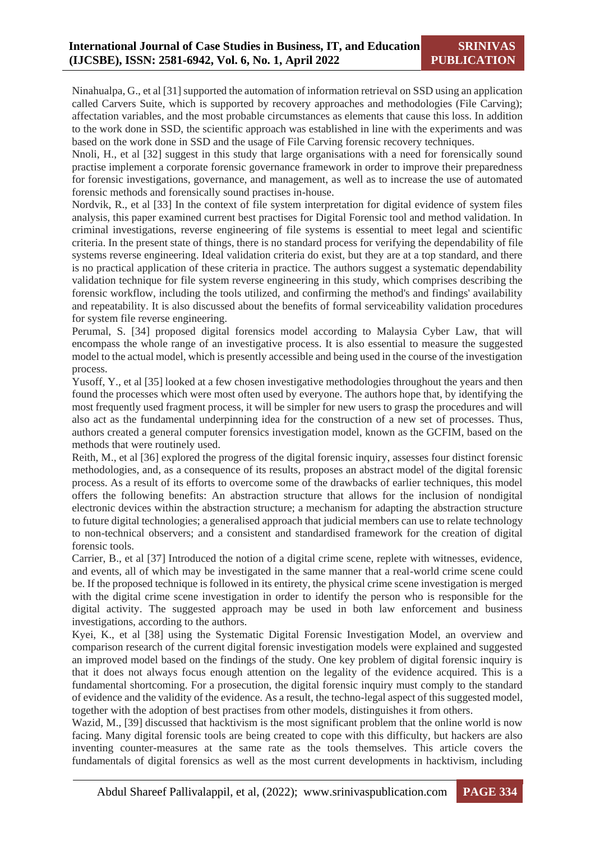Ninahualpa, G., et al [31] supported the automation of information retrieval on SSD using an application called Carvers Suite, which is supported by recovery approaches and methodologies (File Carving); affectation variables, and the most probable circumstances as elements that cause this loss. In addition to the work done in SSD, the scientific approach was established in line with the experiments and was based on the work done in SSD and the usage of File Carving forensic recovery techniques.

Nnoli, H., et al [32] suggest in this study that large organisations with a need for forensically sound practise implement a corporate forensic governance framework in order to improve their preparedness for forensic investigations, governance, and management, as well as to increase the use of automated forensic methods and forensically sound practises in-house.

Nordvik, R., et al [33] In the context of file system interpretation for digital evidence of system files analysis, this paper examined current best practises for Digital Forensic tool and method validation. In criminal investigations, reverse engineering of file systems is essential to meet legal and scientific criteria. In the present state of things, there is no standard process for verifying the dependability of file systems reverse engineering. Ideal validation criteria do exist, but they are at a top standard, and there is no practical application of these criteria in practice. The authors suggest a systematic dependability validation technique for file system reverse engineering in this study, which comprises describing the forensic workflow, including the tools utilized, and confirming the method's and findings' availability and repeatability. It is also discussed about the benefits of formal serviceability validation procedures for system file reverse engineering.

Perumal, S. [34] proposed digital forensics model according to Malaysia Cyber Law, that will encompass the whole range of an investigative process. It is also essential to measure the suggested model to the actual model, which is presently accessible and being used in the course of the investigation process.

Yusoff, Y., et al [35] looked at a few chosen investigative methodologies throughout the years and then found the processes which were most often used by everyone. The authors hope that, by identifying the most frequently used fragment process, it will be simpler for new users to grasp the procedures and will also act as the fundamental underpinning idea for the construction of a new set of processes. Thus, authors created a general computer forensics investigation model, known as the GCFIM, based on the methods that were routinely used.

Reith, M., et al [36] explored the progress of the digital forensic inquiry, assesses four distinct forensic methodologies, and, as a consequence of its results, proposes an abstract model of the digital forensic process. As a result of its efforts to overcome some of the drawbacks of earlier techniques, this model offers the following benefits: An abstraction structure that allows for the inclusion of nondigital electronic devices within the abstraction structure; a mechanism for adapting the abstraction structure to future digital technologies; a generalised approach that judicial members can use to relate technology to non-technical observers; and a consistent and standardised framework for the creation of digital forensic tools.

Carrier, B., et al [37] Introduced the notion of a digital crime scene, replete with witnesses, evidence, and events, all of which may be investigated in the same manner that a real-world crime scene could be. If the proposed technique is followed in its entirety, the physical crime scene investigation is merged with the digital crime scene investigation in order to identify the person who is responsible for the digital activity. The suggested approach may be used in both law enforcement and business investigations, according to the authors.

Kyei, K., et al [38] using the Systematic Digital Forensic Investigation Model, an overview and comparison research of the current digital forensic investigation models were explained and suggested an improved model based on the findings of the study. One key problem of digital forensic inquiry is that it does not always focus enough attention on the legality of the evidence acquired. This is a fundamental shortcoming. For a prosecution, the digital forensic inquiry must comply to the standard of evidence and the validity of the evidence. As a result, the techno-legal aspect of this suggested model, together with the adoption of best practises from other models, distinguishes it from others.

Wazid, M., [39] discussed that hacktivism is the most significant problem that the online world is now facing. Many digital forensic tools are being created to cope with this difficulty, but hackers are also inventing counter-measures at the same rate as the tools themselves. This article covers the fundamentals of digital forensics as well as the most current developments in hacktivism, including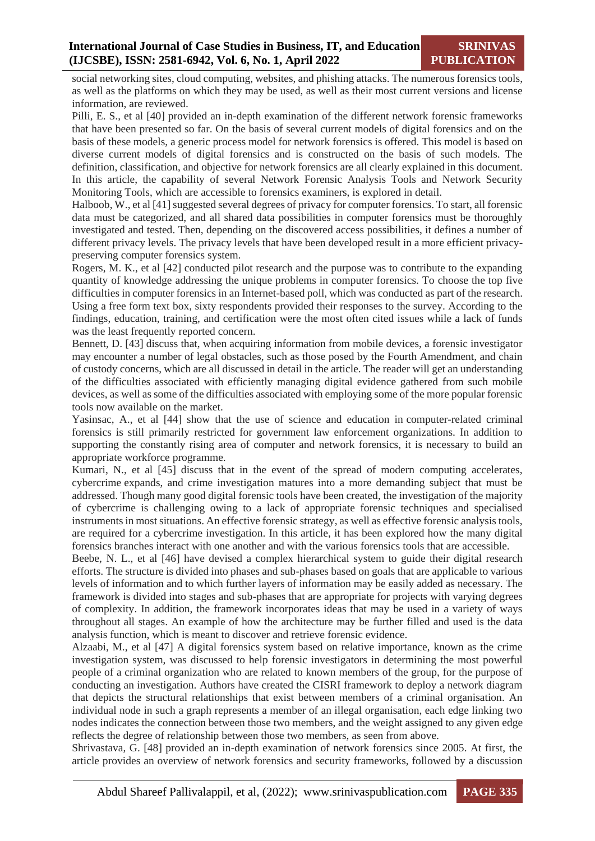social networking sites, cloud computing, websites, and phishing attacks. The numerous forensics tools, as well as the platforms on which they may be used, as well as their most current versions and license information, are reviewed.

Pilli, E. S., et al [40] provided an in-depth examination of the different network forensic frameworks that have been presented so far. On the basis of several current models of digital forensics and on the basis of these models, a generic process model for network forensics is offered. This model is based on diverse current models of digital forensics and is constructed on the basis of such models. The definition, classification, and objective for network forensics are all clearly explained in this document. In this article, the capability of several Network Forensic Analysis Tools and Network Security Monitoring Tools, which are accessible to forensics examiners, is explored in detail.

Halboob, W., et al [41] suggested several degrees of privacy for computer forensics. To start, all forensic data must be categorized, and all shared data possibilities in computer forensics must be thoroughly investigated and tested. Then, depending on the discovered access possibilities, it defines a number of different privacy levels. The privacy levels that have been developed result in a more efficient privacypreserving computer forensics system.

Rogers, M. K., et al [42] conducted pilot research and the purpose was to contribute to the expanding quantity of knowledge addressing the unique problems in computer forensics. To choose the top five difficulties in computer forensics in an Internet-based poll, which was conducted as part of the research. Using a free form text box, sixty respondents provided their responses to the survey. According to the findings, education, training, and certification were the most often cited issues while a lack of funds was the least frequently reported concern.

Bennett, D. [43] discuss that, when acquiring information from mobile devices, a forensic investigator may encounter a number of legal obstacles, such as those posed by the Fourth Amendment, and chain of custody concerns, which are all discussed in detail in the article. The reader will get an understanding of the difficulties associated with efficiently managing digital evidence gathered from such mobile devices, as well as some of the difficulties associated with employing some of the more popular forensic tools now available on the market.

Yasinsac, A., et al [44] show that the use of science and education in computer-related criminal forensics is still primarily restricted for government law enforcement organizations. In addition to supporting the constantly rising area of computer and network forensics, it is necessary to build an appropriate workforce programme.

Kumari, N., et al [45] discuss that in the event of the spread of modern computing accelerates, cybercrime expands, and crime investigation matures into a more demanding subject that must be addressed. Though many good digital forensic tools have been created, the investigation of the majority of cybercrime is challenging owing to a lack of appropriate forensic techniques and specialised instruments in most situations. An effective forensic strategy, as well as effective forensic analysis tools, are required for a cybercrime investigation. In this article, it has been explored how the many digital forensics branches interact with one another and with the various forensics tools that are accessible.

Beebe, N. L., et al [46] have devised a complex hierarchical system to guide their digital research efforts. The structure is divided into phases and sub-phases based on goals that are applicable to various levels of information and to which further layers of information may be easily added as necessary. The framework is divided into stages and sub-phases that are appropriate for projects with varying degrees of complexity. In addition, the framework incorporates ideas that may be used in a variety of ways throughout all stages. An example of how the architecture may be further filled and used is the data analysis function, which is meant to discover and retrieve forensic evidence.

Alzaabi, M., et al [47] A digital forensics system based on relative importance, known as the crime investigation system, was discussed to help forensic investigators in determining the most powerful people of a criminal organization who are related to known members of the group, for the purpose of conducting an investigation. Authors have created the CISRI framework to deploy a network diagram that depicts the structural relationships that exist between members of a criminal organisation. An individual node in such a graph represents a member of an illegal organisation, each edge linking two nodes indicates the connection between those two members, and the weight assigned to any given edge reflects the degree of relationship between those two members, as seen from above.

Shrivastava, G. [48] provided an in-depth examination of network forensics since 2005. At first, the article provides an overview of network forensics and security frameworks, followed by a discussion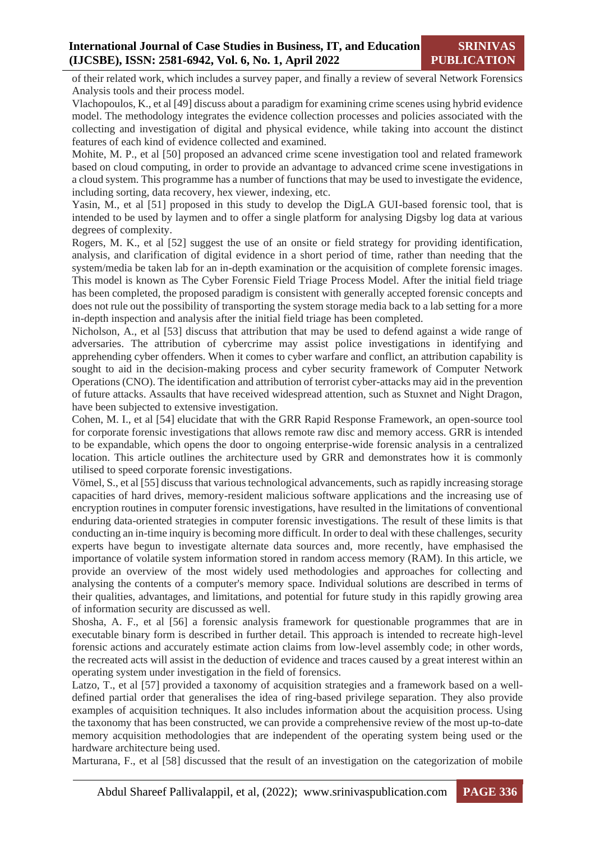of their related work, which includes a survey paper, and finally a review of several Network Forensics Analysis tools and their process model.

Vlachopoulos, K., et al [49] discuss about a paradigm for examining crime scenes using hybrid evidence model. The methodology integrates the evidence collection processes and policies associated with the collecting and investigation of digital and physical evidence, while taking into account the distinct features of each kind of evidence collected and examined.

Mohite, M. P., et al [50] proposed an advanced crime scene investigation tool and related framework based on cloud computing, in order to provide an advantage to advanced crime scene investigations in a cloud system. This programme has a number of functions that may be used to investigate the evidence, including sorting, data recovery, hex viewer, indexing, etc.

Yasin, M., et al [51] proposed in this study to develop the DigLA GUI-based forensic tool, that is intended to be used by laymen and to offer a single platform for analysing Digsby log data at various degrees of complexity.

Rogers, M. K., et al [52] suggest the use of an onsite or field strategy for providing identification, analysis, and clarification of digital evidence in a short period of time, rather than needing that the system/media be taken lab for an in-depth examination or the acquisition of complete forensic images. This model is known as The Cyber Forensic Field Triage Process Model. After the initial field triage has been completed, the proposed paradigm is consistent with generally accepted forensic concepts and does not rule out the possibility of transporting the system storage media back to a lab setting for a more in-depth inspection and analysis after the initial field triage has been completed.

Nicholson, A., et al [53] discuss that attribution that may be used to defend against a wide range of adversaries. The attribution of cybercrime may assist police investigations in identifying and apprehending cyber offenders. When it comes to cyber warfare and conflict, an attribution capability is sought to aid in the decision-making process and cyber security framework of Computer Network Operations (CNO). The identification and attribution of terrorist cyber-attacks may aid in the prevention of future attacks. Assaults that have received widespread attention, such as Stuxnet and Night Dragon, have been subjected to extensive investigation.

Cohen, M. I., et al [54] elucidate that with the GRR Rapid Response Framework, an open-source tool for corporate forensic investigations that allows remote raw disc and memory access. GRR is intended to be expandable, which opens the door to ongoing enterprise-wide forensic analysis in a centralized location. This article outlines the architecture used by GRR and demonstrates how it is commonly utilised to speed corporate forensic investigations.

Vömel, S., et al [55] discuss that various technological advancements, such as rapidly increasing storage capacities of hard drives, memory-resident malicious software applications and the increasing use of encryption routines in computer forensic investigations, have resulted in the limitations of conventional enduring data-oriented strategies in computer forensic investigations. The result of these limits is that conducting an in-time inquiry is becoming more difficult. In order to deal with these challenges, security experts have begun to investigate alternate data sources and, more recently, have emphasised the importance of volatile system information stored in random access memory (RAM). In this article, we provide an overview of the most widely used methodologies and approaches for collecting and analysing the contents of a computer's memory space. Individual solutions are described in terms of their qualities, advantages, and limitations, and potential for future study in this rapidly growing area of information security are discussed as well.

Shosha, A. F., et al [56] a forensic analysis framework for questionable programmes that are in executable binary form is described in further detail. This approach is intended to recreate high-level forensic actions and accurately estimate action claims from low-level assembly code; in other words, the recreated acts will assist in the deduction of evidence and traces caused by a great interest within an operating system under investigation in the field of forensics.

Latzo, T., et al [57] provided a taxonomy of acquisition strategies and a framework based on a welldefined partial order that generalises the idea of ring-based privilege separation. They also provide examples of acquisition techniques. It also includes information about the acquisition process. Using the taxonomy that has been constructed, we can provide a comprehensive review of the most up-to-date memory acquisition methodologies that are independent of the operating system being used or the hardware architecture being used.

Marturana, F., et al [58] discussed that the result of an investigation on the categorization of mobile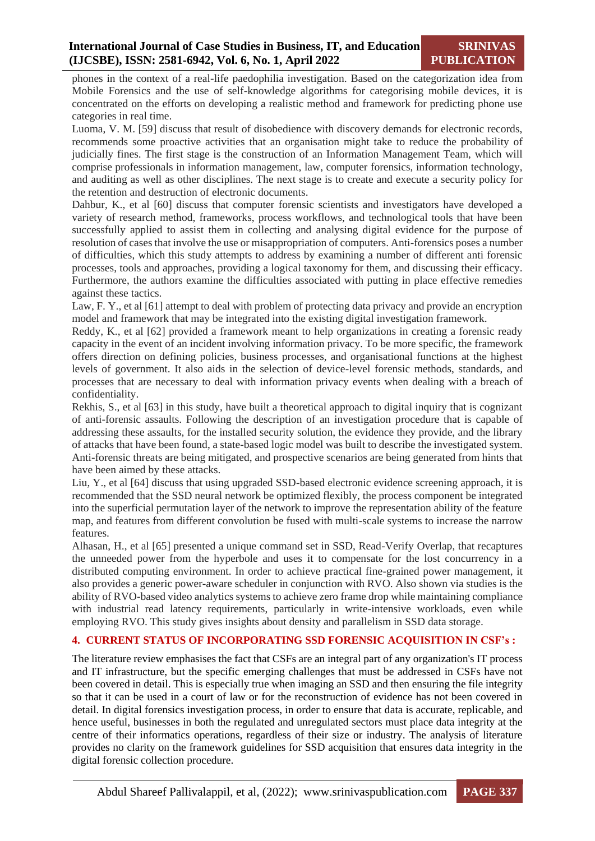phones in the context of a real-life paedophilia investigation. Based on the categorization idea from Mobile Forensics and the use of self-knowledge algorithms for categorising mobile devices, it is concentrated on the efforts on developing a realistic method and framework for predicting phone use categories in real time.

Luoma, V. M. [59] discuss that result of disobedience with discovery demands for electronic records, recommends some proactive activities that an organisation might take to reduce the probability of judicially fines. The first stage is the construction of an Information Management Team, which will comprise professionals in information management, law, computer forensics, information technology, and auditing as well as other disciplines. The next stage is to create and execute a security policy for the retention and destruction of electronic documents.

Dahbur, K., et al [60] discuss that computer forensic scientists and investigators have developed a variety of research method, frameworks, process workflows, and technological tools that have been successfully applied to assist them in collecting and analysing digital evidence for the purpose of resolution of cases that involve the use or misappropriation of computers. Anti-forensics poses a number of difficulties, which this study attempts to address by examining a number of different anti forensic processes, tools and approaches, providing a logical taxonomy for them, and discussing their efficacy. Furthermore, the authors examine the difficulties associated with putting in place effective remedies against these tactics.

Law, F. Y., et al [61] attempt to deal with problem of protecting data privacy and provide an encryption model and framework that may be integrated into the existing digital investigation framework.

Reddy, K., et al [62] provided a framework meant to help organizations in creating a forensic ready capacity in the event of an incident involving information privacy. To be more specific, the framework offers direction on defining policies, business processes, and organisational functions at the highest levels of government. It also aids in the selection of device-level forensic methods, standards, and processes that are necessary to deal with information privacy events when dealing with a breach of confidentiality.

Rekhis, S., et al [63] in this study, have built a theoretical approach to digital inquiry that is cognizant of anti-forensic assaults. Following the description of an investigation procedure that is capable of addressing these assaults, for the installed security solution, the evidence they provide, and the library of attacks that have been found, a state-based logic model was built to describe the investigated system. Anti-forensic threats are being mitigated, and prospective scenarios are being generated from hints that have been aimed by these attacks.

Liu, Y., et al [64] discuss that using upgraded SSD-based electronic evidence screening approach, it is recommended that the SSD neural network be optimized flexibly, the process component be integrated into the superficial permutation layer of the network to improve the representation ability of the feature map, and features from different convolution be fused with multi-scale systems to increase the narrow features.

Alhasan, H., et al [65] presented a unique command set in SSD, Read-Verify Overlap, that recaptures the unneeded power from the hyperbole and uses it to compensate for the lost concurrency in a distributed computing environment. In order to achieve practical fine-grained power management, it also provides a generic power-aware scheduler in conjunction with RVO. Also shown via studies is the ability of RVO-based video analytics systems to achieve zero frame drop while maintaining compliance with industrial read latency requirements, particularly in write-intensive workloads, even while employing RVO. This study gives insights about density and parallelism in SSD data storage.

#### **4. CURRENT STATUS OF INCORPORATING SSD FORENSIC ACQUISITION IN CSF's :**

The literature review emphasises the fact that CSFs are an integral part of any organization's IT process and IT infrastructure, but the specific emerging challenges that must be addressed in CSFs have not been covered in detail. This is especially true when imaging an SSD and then ensuring the file integrity so that it can be used in a court of law or for the reconstruction of evidence has not been covered in detail. In digital forensics investigation process, in order to ensure that data is accurate, replicable, and hence useful, businesses in both the regulated and unregulated sectors must place data integrity at the centre of their informatics operations, regardless of their size or industry. The analysis of literature provides no clarity on the framework guidelines for SSD acquisition that ensures data integrity in the digital forensic collection procedure.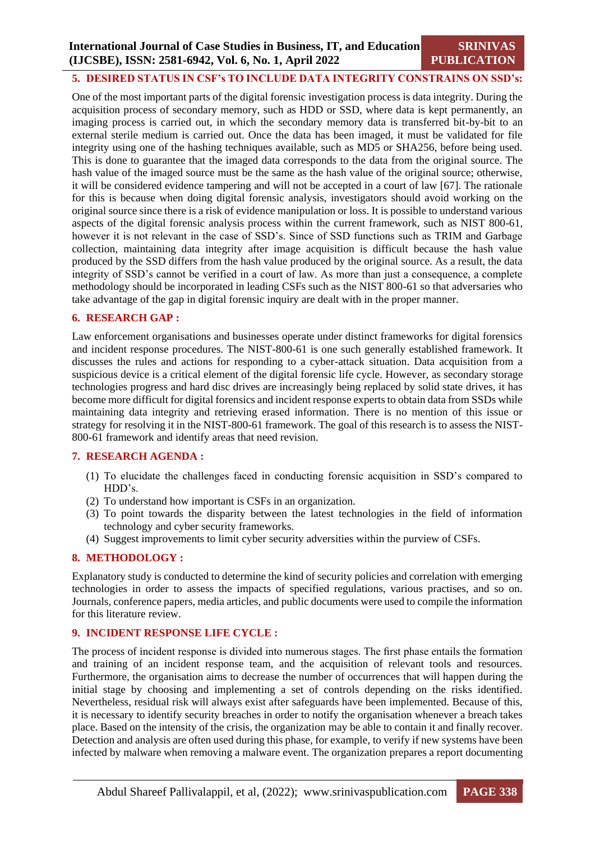#### **5. DESIRED STATUS IN CSF's TO INCLUDE DATA INTEGRITY CONSTRAINS ON SSD's:**

One of the most important parts of the digital forensic investigation process is data integrity. During the acquisition process of secondary memory, such as HDD or SSD, where data is kept permanently, an imaging process is carried out, in which the secondary memory data is transferred bit-by-bit to an external sterile medium is carried out. Once the data has been imaged, it must be validated for file integrity using one of the hashing techniques available, such as MD5 or SHA256, before being used. This is done to guarantee that the imaged data corresponds to the data from the original source. The hash value of the imaged source must be the same as the hash value of the original source; otherwise, it will be considered evidence tampering and will not be accepted in a court of law [67]. The rationale for this is because when doing digital forensic analysis, investigators should avoid working on the original source since there is a risk of evidence manipulation or loss. It is possible to understand various aspects of the digital forensic analysis process within the current framework, such as NIST 800-61, however it is not relevant in the case of SSD's. Since of SSD functions such as TRIM and Garbage collection, maintaining data integrity after image acquisition is difficult because the hash value produced by the SSD differs from the hash value produced by the original source. As a result, the data integrity of SSD's cannot be verified in a court of law. As more than just a consequence, a complete methodology should be incorporated in leading CSFs such as the NIST 800-61 so that adversaries who take advantage of the gap in digital forensic inquiry are dealt with in the proper manner.

#### **6. RESEARCH GAP :**

Law enforcement organisations and businesses operate under distinct frameworks for digital forensics and incident response procedures. The NIST-800-61 is one such generally established framework. It discusses the rules and actions for responding to a cyber-attack situation. Data acquisition from a suspicious device is a critical element of the digital forensic life cycle. However, as secondary storage technologies progress and hard disc drives are increasingly being replaced by solid state drives, it has become more difficult for digital forensics and incident response experts to obtain data from SSDs while maintaining data integrity and retrieving erased information. There is no mention of this issue or strategy for resolving it in the NIST-800-61 framework. The goal of this research is to assess the NIST-800-61 framework and identify areas that need revision.

#### **7. RESEARCH AGENDA :**

- (1) To elucidate the challenges faced in conducting forensic acquisition in SSD's compared to HDD's.
- (2) To understand how important is CSFs in an organization.
- (3) To point towards the disparity between the latest technologies in the field of information technology and cyber security frameworks.
- (4) Suggest improvements to limit cyber security adversities within the purview of CSFs.

#### **8. METHODOLOGY :**

Explanatory study is conducted to determine the kind of security policies and correlation with emerging technologies in order to assess the impacts of specified regulations, various practises, and so on. Journals, conference papers, media articles, and public documents were used to compile the information for this literature review.

#### **9. INCIDENT RESPONSE LIFE CYCLE :**

The process of incident response is divided into numerous stages. The first phase entails the formation and training of an incident response team, and the acquisition of relevant tools and resources. Furthermore, the organisation aims to decrease the number of occurrences that will happen during the initial stage by choosing and implementing a set of controls depending on the risks identified. Nevertheless, residual risk will always exist after safeguards have been implemented. Because of this, it is necessary to identify security breaches in order to notify the organisation whenever a breach takes place. Based on the intensity of the crisis, the organization may be able to contain it and finally recover. Detection and analysis are often used during this phase, for example, to verify if new systems have been infected by malware when removing a malware event. The organization prepares a report documenting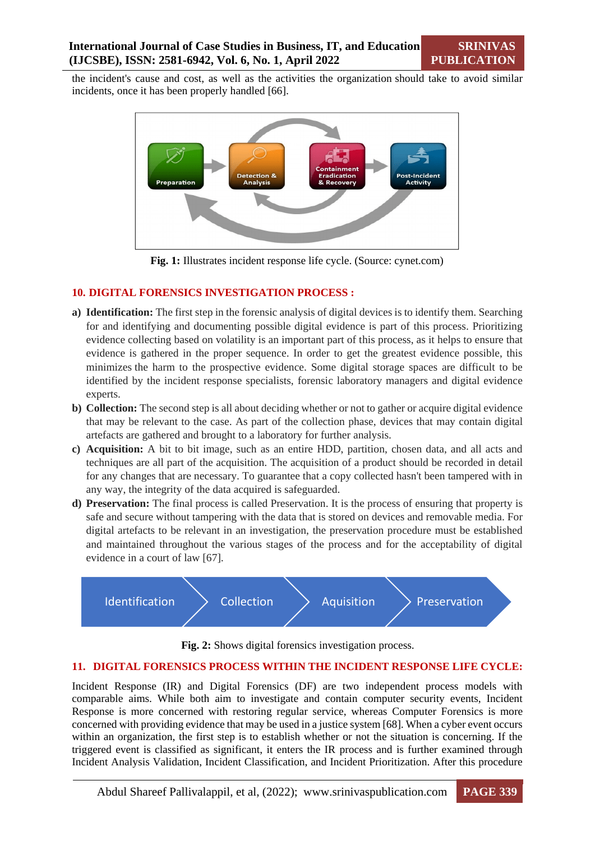the incident's cause and cost, as well as the activities the organization should take to avoid similar incidents, once it has been properly handled [66].



**Fig. 1:** Illustrates incident response life cycle. (Source: cynet.com)

#### **10. DIGITAL FORENSICS INVESTIGATION PROCESS :**

- **a) Identification:** The first step in the forensic analysis of digital devices is to identify them. Searching for and identifying and documenting possible digital evidence is part of this process. Prioritizing evidence collecting based on volatility is an important part of this process, as it helps to ensure that evidence is gathered in the proper sequence. In order to get the greatest evidence possible, this minimizes the harm to the prospective evidence. Some digital storage spaces are difficult to be identified by the incident response specialists, forensic laboratory managers and digital evidence experts.
- **b) Collection:** The second step is all about deciding whether or not to gather or acquire digital evidence that may be relevant to the case. As part of the collection phase, devices that may contain digital artefacts are gathered and brought to a laboratory for further analysis.
- **c) Acquisition:** A bit to bit image, such as an entire HDD, partition, chosen data, and all acts and techniques are all part of the acquisition. The acquisition of a product should be recorded in detail for any changes that are necessary. To guarantee that a copy collected hasn't been tampered with in any way, the integrity of the data acquired is safeguarded.
- **d) Preservation:** The final process is called Preservation. It is the process of ensuring that property is safe and secure without tampering with the data that is stored on devices and removable media. For digital artefacts to be relevant in an investigation, the preservation procedure must be established and maintained throughout the various stages of the process and for the acceptability of digital evidence in a court of law [67].



**Fig. 2:** Shows digital forensics investigation process.

#### **11. DIGITAL FORENSICS PROCESS WITHIN THE INCIDENT RESPONSE LIFE CYCLE:**

Incident Response (IR) and Digital Forensics (DF) are two independent process models with comparable aims. While both aim to investigate and contain computer security events, Incident Response is more concerned with restoring regular service, whereas Computer Forensics is more concerned with providing evidence that may be used in a justice system [68]. When a cyber event occurs within an organization, the first step is to establish whether or not the situation is concerning. If the triggered event is classified as significant, it enters the IR process and is further examined through Incident Analysis Validation, Incident Classification, and Incident Prioritization. After this procedure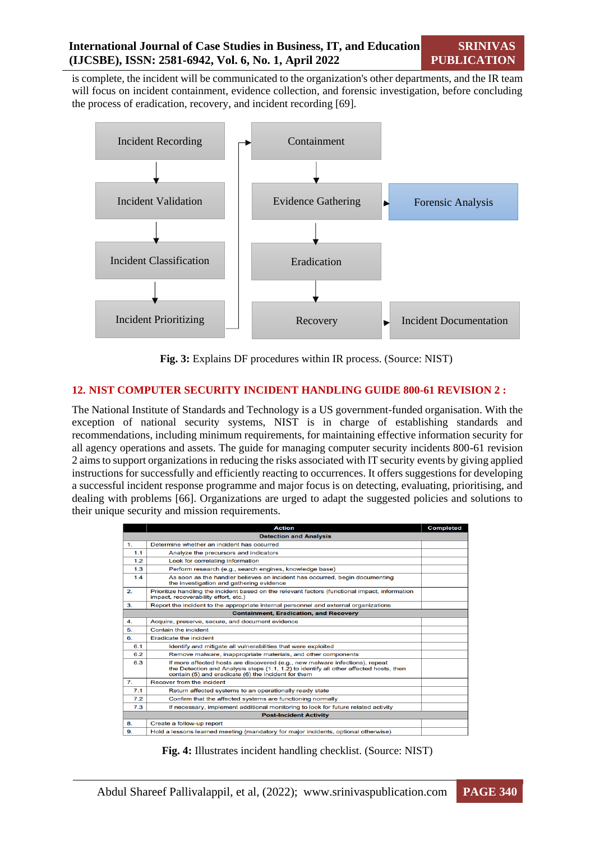**SRINIVAS PUBLICATION**

is complete, the incident will be communicated to the organization's other departments, and the IR team will focus on incident containment, evidence collection, and forensic investigation, before concluding the process of eradication, recovery, and incident recording [69].



**Fig. 3:** Explains DF procedures within IR process. (Source: NIST)

#### **12. NIST COMPUTER SECURITY INCIDENT HANDLING GUIDE 800-61 REVISION 2 :**

The National Institute of Standards and Technology is a US government-funded organisation. With the exception of national security systems, NIST is in charge of establishing standards and recommendations, including minimum requirements, for maintaining effective information security for all agency operations and assets. The guide for managing computer security incidents 800-61 revision 2 aims to support organizations in reducing the risks associated with IT security events by giving applied instructions for successfully and efficiently reacting to occurrences. It offers suggestions for developing a successful incident response programme and major focus is on detecting, evaluating, prioritising, and dealing with problems [66]. Organizations are urged to adapt the suggested policies and solutions to their unique security and mission requirements.

|                                               | <b>Action</b>                                                                                                                                                                                                                 | <b>Completed</b> |  |
|-----------------------------------------------|-------------------------------------------------------------------------------------------------------------------------------------------------------------------------------------------------------------------------------|------------------|--|
| <b>Detection and Analysis</b>                 |                                                                                                                                                                                                                               |                  |  |
| 1.                                            | Determine whether an incident has occurred                                                                                                                                                                                    |                  |  |
| 1.1                                           | Analyze the precursors and indicators                                                                                                                                                                                         |                  |  |
| 1.2                                           | Look for correlating information                                                                                                                                                                                              |                  |  |
| 1.3                                           | Perform research (e.g., search engines, knowledge base)                                                                                                                                                                       |                  |  |
| 1.4                                           | As soon as the handler believes an incident has occurred, begin documenting<br>the investigation and gathering evidence                                                                                                       |                  |  |
| $\mathbf{2}$                                  | Prioritize handling the incident based on the relevant factors (functional impact, information<br>impact, recoverability effort, etc.)                                                                                        |                  |  |
| 3.                                            | Report the incident to the appropriate internal personnel and external organizations                                                                                                                                          |                  |  |
| <b>Containment, Eradication, and Recovery</b> |                                                                                                                                                                                                                               |                  |  |
| 4.                                            | Acquire, preserve, secure, and document evidence                                                                                                                                                                              |                  |  |
| 5.                                            | <b>Contain the incident</b>                                                                                                                                                                                                   |                  |  |
| 6.                                            | <b>Eradicate the incident</b>                                                                                                                                                                                                 |                  |  |
| 6.1                                           | Identify and mitigate all vulnerabilities that were exploited                                                                                                                                                                 |                  |  |
| 6.2                                           | Remove malware, inappropriate materials, and other components                                                                                                                                                                 |                  |  |
| 6.3                                           | If more affected hosts are discovered (e.g., new malware infections), repeat<br>the Detection and Analysis steps (1.1, 1.2) to identify all other affected hosts, then<br>contain (5) and eradicate (6) the incident for them |                  |  |
| $\mathbf{7}$                                  | Recover from the incident                                                                                                                                                                                                     |                  |  |
| 7.1                                           | Return affected systems to an operationally ready state                                                                                                                                                                       |                  |  |
| 7.2                                           | Confirm that the affected systems are functioning normally                                                                                                                                                                    |                  |  |
| 7.3                                           | If necessary, implement additional monitoring to look for future related activity                                                                                                                                             |                  |  |
| <b>Post-Incident Activity</b>                 |                                                                                                                                                                                                                               |                  |  |
| 8.                                            | Create a follow-up report                                                                                                                                                                                                     |                  |  |
| 9.                                            | Hold a lessons learned meeting (mandatory for major incidents, optional otherwise)                                                                                                                                            |                  |  |
|                                               |                                                                                                                                                                                                                               |                  |  |

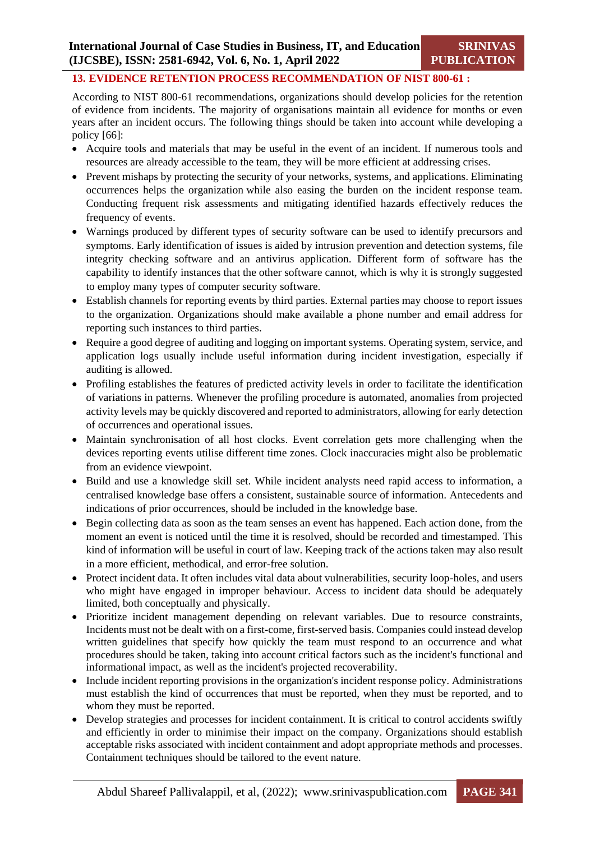## **13. EVIDENCE RETENTION PROCESS RECOMMENDATION OF NIST 800-61 :**

According to NIST 800-61 recommendations, organizations should develop policies for the retention of evidence from incidents. The majority of organisations maintain all evidence for months or even years after an incident occurs. The following things should be taken into account while developing a policy [66]:

- Acquire tools and materials that may be useful in the event of an incident. If numerous tools and resources are already accessible to the team, they will be more efficient at addressing crises.
- Prevent mishaps by protecting the security of your networks, systems, and applications. Eliminating occurrences helps the organization while also easing the burden on the incident response team. Conducting frequent risk assessments and mitigating identified hazards effectively reduces the frequency of events.
- Warnings produced by different types of security software can be used to identify precursors and symptoms. Early identification of issues is aided by intrusion prevention and detection systems, file integrity checking software and an antivirus application. Different form of software has the capability to identify instances that the other software cannot, which is why it is strongly suggested to employ many types of computer security software.
- Establish channels for reporting events by third parties. External parties may choose to report issues to the organization. Organizations should make available a phone number and email address for reporting such instances to third parties.
- Require a good degree of auditing and logging on important systems. Operating system, service, and application logs usually include useful information during incident investigation, especially if auditing is allowed.
- Profiling establishes the features of predicted activity levels in order to facilitate the identification of variations in patterns. Whenever the profiling procedure is automated, anomalies from projected activity levels may be quickly discovered and reported to administrators, allowing for early detection of occurrences and operational issues.
- Maintain synchronisation of all host clocks. Event correlation gets more challenging when the devices reporting events utilise different time zones. Clock inaccuracies might also be problematic from an evidence viewpoint.
- Build and use a knowledge skill set. While incident analysts need rapid access to information, a centralised knowledge base offers a consistent, sustainable source of information. Antecedents and indications of prior occurrences, should be included in the knowledge base.
- Begin collecting data as soon as the team senses an event has happened. Each action done, from the moment an event is noticed until the time it is resolved, should be recorded and timestamped. This kind of information will be useful in court of law. Keeping track of the actions taken may also result in a more efficient, methodical, and error-free solution.
- Protect incident data. It often includes vital data about vulnerabilities, security loop-holes, and users who might have engaged in improper behaviour. Access to incident data should be adequately limited, both conceptually and physically.
- Prioritize incident management depending on relevant variables. Due to resource constraints, Incidents must not be dealt with on a first-come, first-served basis. Companies could instead develop written guidelines that specify how quickly the team must respond to an occurrence and what procedures should be taken, taking into account critical factors such as the incident's functional and informational impact, as well as the incident's projected recoverability.
- Include incident reporting provisions in the organization's incident response policy. Administrations must establish the kind of occurrences that must be reported, when they must be reported, and to whom they must be reported.
- Develop strategies and processes for incident containment. It is critical to control accidents swiftly and efficiently in order to minimise their impact on the company. Organizations should establish acceptable risks associated with incident containment and adopt appropriate methods and processes. Containment techniques should be tailored to the event nature.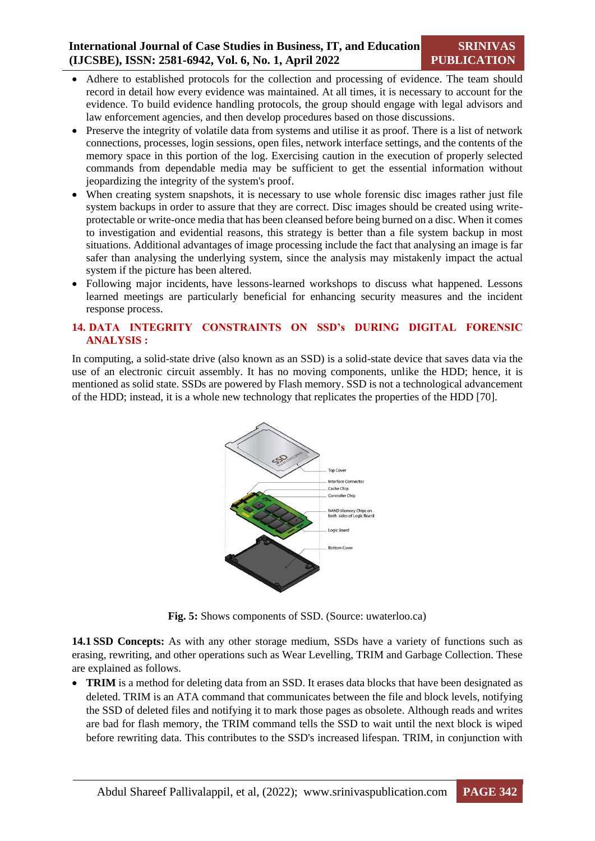- Adhere to established protocols for the collection and processing of evidence. The team should record in detail how every evidence was maintained. At all times, it is necessary to account for the evidence. To build evidence handling protocols, the group should engage with legal advisors and law enforcement agencies, and then develop procedures based on those discussions.
- Preserve the integrity of volatile data from systems and utilise it as proof. There is a list of network connections, processes, login sessions, open files, network interface settings, and the contents of the memory space in this portion of the log. Exercising caution in the execution of properly selected commands from dependable media may be sufficient to get the essential information without jeopardizing the integrity of the system's proof.
- When creating system snapshots, it is necessary to use whole forensic disc images rather just file system backups in order to assure that they are correct. Disc images should be created using writeprotectable or write-once media that has been cleansed before being burned on a disc. When it comes to investigation and evidential reasons, this strategy is better than a file system backup in most situations. Additional advantages of image processing include the fact that analysing an image is far safer than analysing the underlying system, since the analysis may mistakenly impact the actual system if the picture has been altered.
- Following major incidents, have lessons-learned workshops to discuss what happened. Lessons learned meetings are particularly beneficial for enhancing security measures and the incident response process.

#### **14. DATA INTEGRITY CONSTRAINTS ON SSD's DURING DIGITAL FORENSIC ANALYSIS :**

In computing, a solid-state drive (also known as an SSD) is a solid-state device that saves data via the use of an electronic circuit assembly. It has no moving components, unlike the HDD; hence, it is mentioned as solid state. SSDs are powered by Flash memory. SSD is not a technological advancement of the HDD; instead, it is a whole new technology that replicates the properties of the HDD [70].



**Fig. 5:** Shows components of SSD. (Source: uwaterloo.ca)

**14.1 SSD Concepts:** As with any other storage medium, SSDs have a variety of functions such as erasing, rewriting, and other operations such as Wear Levelling, TRIM and Garbage Collection. These are explained as follows.

• **TRIM** is a method for deleting data from an SSD. It erases data blocks that have been designated as deleted. TRIM is an ATA command that communicates between the file and block levels, notifying the SSD of deleted files and notifying it to mark those pages as obsolete. Although reads and writes are bad for flash memory, the TRIM command tells the SSD to wait until the next block is wiped before rewriting data. This contributes to the SSD's increased lifespan. TRIM, in conjunction with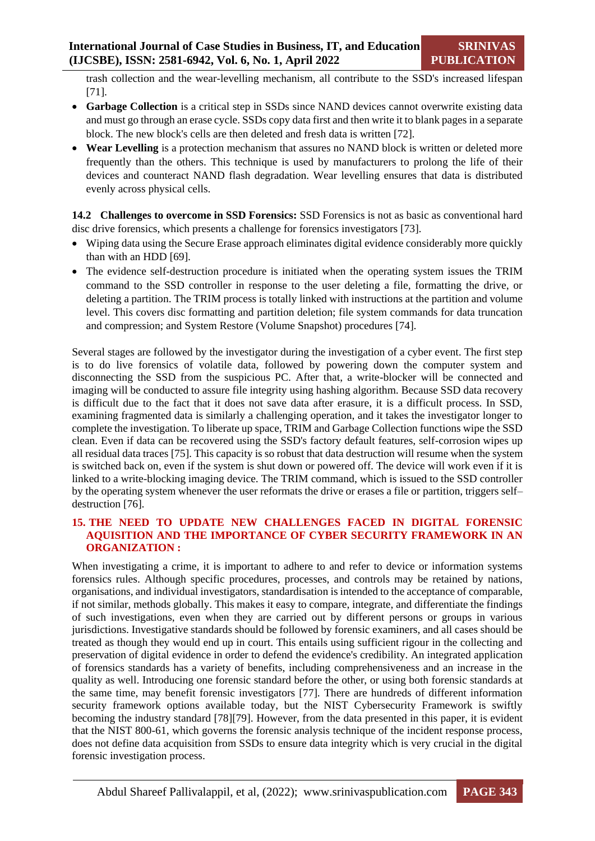trash collection and the wear-levelling mechanism, all contribute to the SSD's increased lifespan [71].

- **Garbage Collection** is a critical step in SSDs since NAND devices cannot overwrite existing data and must go through an erase cycle. SSDs copy data first and then write it to blank pages in a separate block. The new block's cells are then deleted and fresh data is written [72].
- **Wear Levelling** is a protection mechanism that assures no NAND block is written or deleted more frequently than the others. This technique is used by manufacturers to prolong the life of their devices and counteract NAND flash degradation. Wear levelling ensures that data is distributed evenly across physical cells.

**14.2 Challenges to overcome in SSD Forensics:** SSD Forensics is not as basic as conventional hard disc drive forensics, which presents a challenge for forensics investigators [73].

- Wiping data using the Secure Erase approach eliminates digital evidence considerably more quickly than with an HDD [69].
- The evidence self-destruction procedure is initiated when the operating system issues the TRIM command to the SSD controller in response to the user deleting a file, formatting the drive, or deleting a partition. The TRIM process is totally linked with instructions at the partition and volume level. This covers disc formatting and partition deletion; file system commands for data truncation and compression; and System Restore (Volume Snapshot) procedures [74].

Several stages are followed by the investigator during the investigation of a cyber event. The first step is to do live forensics of volatile data, followed by powering down the computer system and disconnecting the SSD from the suspicious PC. After that, a write-blocker will be connected and imaging will be conducted to assure file integrity using hashing algorithm. Because SSD data recovery is difficult due to the fact that it does not save data after erasure, it is a difficult process. In SSD, examining fragmented data is similarly a challenging operation, and it takes the investigator longer to complete the investigation. To liberate up space, TRIM and Garbage Collection functions wipe the SSD clean. Even if data can be recovered using the SSD's factory default features, self-corrosion wipes up all residual data traces [75]. This capacity is so robust that data destruction will resume when the system is switched back on, even if the system is shut down or powered off. The device will work even if it is linked to a write-blocking imaging device. The TRIM command, which is issued to the SSD controller by the operating system whenever the user reformats the drive or erases a file or partition, triggers self– destruction [76].

#### **15. THE NEED TO UPDATE NEW CHALLENGES FACED IN DIGITAL FORENSIC AQUISITION AND THE IMPORTANCE OF CYBER SECURITY FRAMEWORK IN AN ORGANIZATION :**

When investigating a crime, it is important to adhere to and refer to device or information systems forensics rules. Although specific procedures, processes, and controls may be retained by nations, organisations, and individual investigators, standardisation is intended to the acceptance of comparable, if not similar, methods globally. This makes it easy to compare, integrate, and differentiate the findings of such investigations, even when they are carried out by different persons or groups in various jurisdictions. Investigative standards should be followed by forensic examiners, and all cases should be treated as though they would end up in court. This entails using sufficient rigour in the collecting and preservation of digital evidence in order to defend the evidence's credibility. An integrated application of forensics standards has a variety of benefits, including comprehensiveness and an increase in the quality as well. Introducing one forensic standard before the other, or using both forensic standards at the same time, may benefit forensic investigators [77]. There are hundreds of different information security framework options available today, but the NIST Cybersecurity Framework is swiftly becoming the industry standard [78][79]. However, from the data presented in this paper, it is evident that the NIST 800-61, which governs the forensic analysis technique of the incident response process, does not define data acquisition from SSDs to ensure data integrity which is very crucial in the digital forensic investigation process.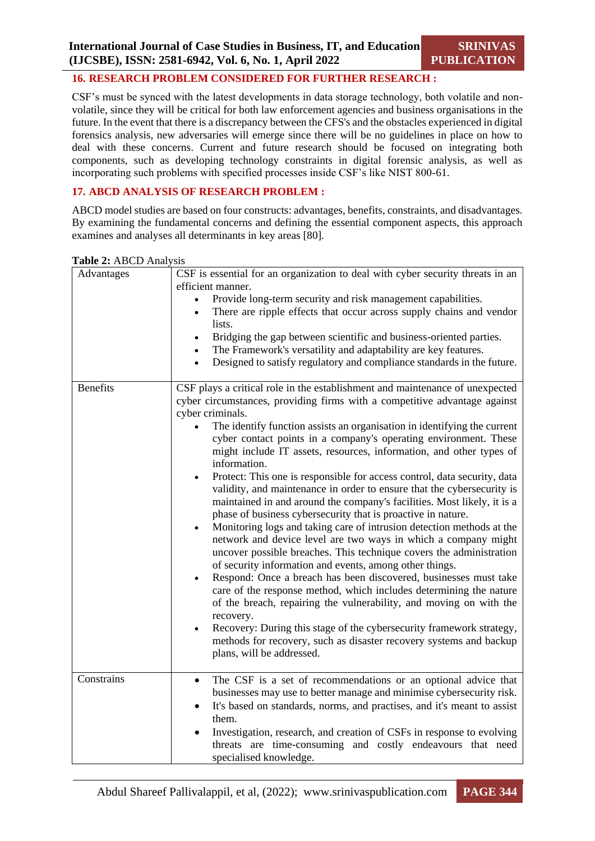## **16. RESEARCH PROBLEM CONSIDERED FOR FURTHER RESEARCH :**

CSF's must be synced with the latest developments in data storage technology, both volatile and nonvolatile, since they will be critical for both law enforcement agencies and business organisations in the future. In the event that there is a discrepancy between the CFS's and the obstacles experienced in digital forensics analysis, new adversaries will emerge since there will be no guidelines in place on how to deal with these concerns. Current and future research should be focused on integrating both components, such as developing technology constraints in digital forensic analysis, as well as incorporating such problems with specified processes inside CSF's like NIST 800-61.

# **17. ABCD ANALYSIS OF RESEARCH PROBLEM :**

ABCD model studies are based on four constructs: advantages, benefits, constraints, and disadvantages. By examining the fundamental concerns and defining the essential component aspects, this approach examines and analyses all determinants in key areas [80].

| Advantages      | CSF is essential for an organization to deal with cyber security threats in an<br>efficient manner.<br>Provide long-term security and risk management capabilities.<br>There are ripple effects that occur across supply chains and vendor<br>lists.<br>Bridging the gap between scientific and business-oriented parties.<br>The Framework's versatility and adaptability are key features.<br>$\bullet$<br>Designed to satisfy regulatory and compliance standards in the future.<br>$\bullet$                                                                                                                                                                                                                                                                                                                                                                                                                                                                                                                                                                                                                                                                                                                                                                                                                                                                                                                                     |
|-----------------|--------------------------------------------------------------------------------------------------------------------------------------------------------------------------------------------------------------------------------------------------------------------------------------------------------------------------------------------------------------------------------------------------------------------------------------------------------------------------------------------------------------------------------------------------------------------------------------------------------------------------------------------------------------------------------------------------------------------------------------------------------------------------------------------------------------------------------------------------------------------------------------------------------------------------------------------------------------------------------------------------------------------------------------------------------------------------------------------------------------------------------------------------------------------------------------------------------------------------------------------------------------------------------------------------------------------------------------------------------------------------------------------------------------------------------------|
| <b>Benefits</b> | CSF plays a critical role in the establishment and maintenance of unexpected<br>cyber circumstances, providing firms with a competitive advantage against<br>cyber criminals.<br>The identify function assists an organisation in identifying the current<br>cyber contact points in a company's operating environment. These<br>might include IT assets, resources, information, and other types of<br>information.<br>Protect: This one is responsible for access control, data security, data<br>$\bullet$<br>validity, and maintenance in order to ensure that the cybersecurity is<br>maintained in and around the company's facilities. Most likely, it is a<br>phase of business cybersecurity that is proactive in nature.<br>Monitoring logs and taking care of intrusion detection methods at the<br>network and device level are two ways in which a company might<br>uncover possible breaches. This technique covers the administration<br>of security information and events, among other things.<br>Respond: Once a breach has been discovered, businesses must take<br>care of the response method, which includes determining the nature<br>of the breach, repairing the vulnerability, and moving on with the<br>recovery.<br>Recovery: During this stage of the cybersecurity framework strategy,<br>$\bullet$<br>methods for recovery, such as disaster recovery systems and backup<br>plans, will be addressed. |
| Constrains      | The CSF is a set of recommendations or an optional advice that<br>$\bullet$<br>businesses may use to better manage and minimise cybersecurity risk.<br>It's based on standards, norms, and practises, and it's meant to assist<br>them.<br>Investigation, research, and creation of CSFs in response to evolving<br>threats are time-consuming and costly endeavours that need<br>specialised knowledge.                                                                                                                                                                                                                                                                                                                                                                                                                                                                                                                                                                                                                                                                                                                                                                                                                                                                                                                                                                                                                             |

**Table 2:** ABCD Analysis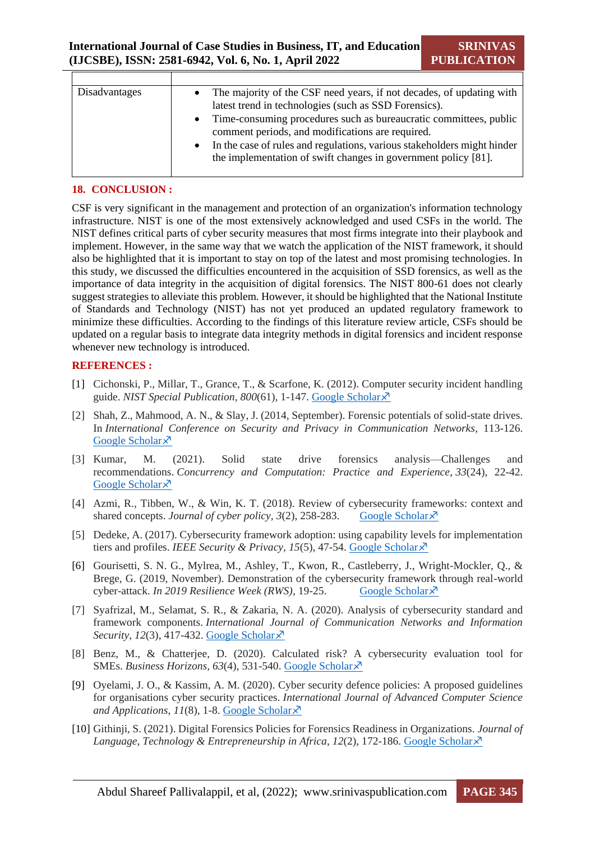| <b>Disadvantages</b> | • The majority of the CSF need years, if not decades, of updating with<br>latest trend in technologies (such as SSD Forensics).<br>• Time-consuming procedures such as bureaucratic committees, public<br>comment periods, and modifications are required.<br>In the case of rules and regulations, various stakeholders might hinder<br>the implementation of swift changes in government policy [81]. |
|----------------------|---------------------------------------------------------------------------------------------------------------------------------------------------------------------------------------------------------------------------------------------------------------------------------------------------------------------------------------------------------------------------------------------------------|

#### **18. CONCLUSION :**

CSF is very significant in the management and protection of an organization's information technology infrastructure. NIST is one of the most extensively acknowledged and used CSFs in the world. The NIST defines critical parts of cyber security measures that most firms integrate into their playbook and implement. However, in the same way that we watch the application of the NIST framework, it should also be highlighted that it is important to stay on top of the latest and most promising technologies. In this study, we discussed the difficulties encountered in the acquisition of SSD forensics, as well as the importance of data integrity in the acquisition of digital forensics. The NIST 800-61 does not clearly suggest strategies to alleviate this problem. However, it should be highlighted that the National Institute of Standards and Technology (NIST) has not yet produced an updated regulatory framework to minimize these difficulties. According to the findings of this literature review article, CSFs should be updated on a regular basis to integrate data integrity methods in digital forensics and incident response whenever new technology is introduced.

#### **REFERENCES :**

- [1] Cichonski, P., Millar, T., Grance, T., & Scarfone, K. (2012). Computer security incident handling guide. *NIST Special Publication*, *800*(61), 1-147. [Google Scholar](https://scholar.google.com/scholar?hl=en&as_sdt=0%2C5&q=Scarfone%2C+K.+A.%2C+Grance%2C+T.%2C+%26+Masone%2C+K.+%282008%29.+Sp+800-61+rev.+1.+computer+security+incident+handling+guide.&btnG=)
- [2] Shah, Z., Mahmood, A. N., & Slay, J. (2014, September). Forensic potentials of solid-state drives. In *International Conference on Security and Privacy in Communication Networks*, 113-126. [Google Scholar](https://scholar.google.com/scholar?hl=en&as_sdt=0%2C5&q=Shah%2C+Z.%2C+Mahmood%2C+A.+N.%2C+%26+Slay%2C+J.+%282014%2C+September%29.+Forensic+potentials+of+solid-state+drives.+In+International+Conference+on+Security+and+Privacy+in+Communication+Networks+%28pp.+113-126%29.+Springer%2C+Cham.&btnG=) ×
- [3] Kumar, M. (2021). Solid state drive forensics analysis—Challenges and recommendations. *Concurrency and Computation: Practice and Experience*, *33*(24), 22-42. [Google Scholar](https://scholar.google.com/scholar?hl=en&as_sdt=0%2C5&q=Kumar%2C+M.+%282021%29.+Solid+state+drive+forensics+analysis%E2%80%94Challenges+and+recommendations.+Concurrency+and+Computation%3A+Practice+and+Experience%2C+33%2824%29%2C+e6442.&btnG=)<sup> $\lambda$ </sup>
- [4] Azmi, R., Tibben, W., & Win, K. T. (2018). Review of cybersecurity frameworks: context and shared concepts. *Journal of cyber policy*,  $3(2)$ ,  $258-283$ . [Google Scholar](https://scholar.google.com/scholar?hl=en&as_sdt=0%2C5&q=Azmi%2C+R.%2C+Tibben%2C+W.%2C+%26+Win%2C+K.+T.+%282018%29.+Review+of+cybersecurity+frameworks%3A+context+and+shared+concepts.+Journal+of+cyber+policy%2C+3%282%29%2C+258-283.&btnG=) $\chi^2$
- [5] Dedeke, A. (2017). Cybersecurity framework adoption: using capability levels for implementation tiers and profiles. *IEEE Security & Privacy*, 15(5), 47-54. [Google Scholar](https://scholar.google.com/scholar?hl=en&as_sdt=0%2C5&q=Dedeke%2C+A.+%282017%29.+Cybersecurity+framework+adoption%3A+using+capability+levels+for+implementation+tiers+and+profiles.+IEEE+Security+%26+Privacy%2C+15%285%29%2C+47-54.&btnG=)  $\times$
- [6] Gourisetti, S. N. G., Mylrea, M., Ashley, T., Kwon, R., Castleberry, J., Wright-Mockler, Q., & Brege, G. (2019, November). Demonstration of the cybersecurity framework through real-world cyber-attack. *In 2019 Resilience Week (RWS)*, 19-25. [Google Scholar](https://scholar.google.com/scholar?hl=en&as_sdt=0%2C5&q=Gourisetti%2C+S.+N.+G.%2C+Mylrea%2C+M.%2C+Ashley%2C+T.%2C+Kwon%2C+R.%2C+Castleberry%2C+J.%2C+Wright-Mockler%2C+Q.%2C+%26+Brege%2C+G.+%282019%2C+November%29.+Demonstration+of+the+cybersecurity+framework+through+real-world+cyber-attack.+In+2019+Resilience+Week+%28RWS%29+%28Vol.+1%2C+pp.+19-25%29.+IEEE.&btnG=)  $\lambda$ <sup>7</sup>
- [7] Syafrizal, M., Selamat, S. R., & Zakaria, N. A. (2020). Analysis of cybersecurity standard and framework components. *International Journal of Communication Networks and Information Security*, *12*(3), 417-432. [Google Scholar](https://scholar.google.com/scholar?hl=en&as_sdt=0%2C5&q=Syafrizal%2C+M.%2C+Selamat%2C+S.+R.%2C+%26+Zakaria%2C+N.+A.+%282020%29.+Analysis+of+cybersecurity+standard+and+framework+components.+International+Journal+of+Communication+Networks+and+Information+Security%2C+12%283%29%2C+417-432.&btnG=)
- [8] Benz, M., & Chatterjee, D. (2020). Calculated risk? A cybersecurity evaluation tool for SMEs. *Business Horizons*, *63*(4), 531-540. [Google Scholar](https://scholar.google.com/scholar?hl=en&as_sdt=0%2C5&q=Benz%2C+M.%2C+%26+Chatterjee%2C+D.+%282020%29.+Calculated+risk%3F+A+cybersecurity+evaluation+tool+for+SMEs.+Business+Horizons%2C+63%284%29%2C+531-540.&btnG=)
- [9] Oyelami, J. O., & Kassim, A. M. (2020). Cyber security defence policies: A proposed guidelines for organisations cyber security practices. *International Journal of Advanced Computer Science and Applications*, *11*(8), 1-8. Google [Scholar](https://scholar.google.com/scholar?hl=en&as_sdt=0%2C5&q=Oyelami%2C+J.+O.%2C+%26+Kassim%2C+A.+M.+%282020%29.+Cyber+security+defence+policies%3A+A+proposed+guidelines+for+organisations+cyber+security+practices.+International+Journal+of+Advanced+Computer+Science+and+Applications%2C+11%288%29.&btnG=)
- [10] Githinji, S. (2021). Digital Forensics Policies for Forensics Readiness in Organizations. *Journal of Language, Technology & Entrepreneurship in Africa, 12(2), 172-186. [Google Scholar](https://scholar.google.com/scholar?hl=en&as_sdt=0%2C5&q=Githinji%2C+S.+%282021%29.+Digital+Forensics+Policies+for+Forensics+Readiness+in+Organizations.+Journal+of+Language%2C+Technology+%26+Entrepreneurship+in+Africa%2C+12%282%29%2C+172-186.&btnG=)* $\overline{X}$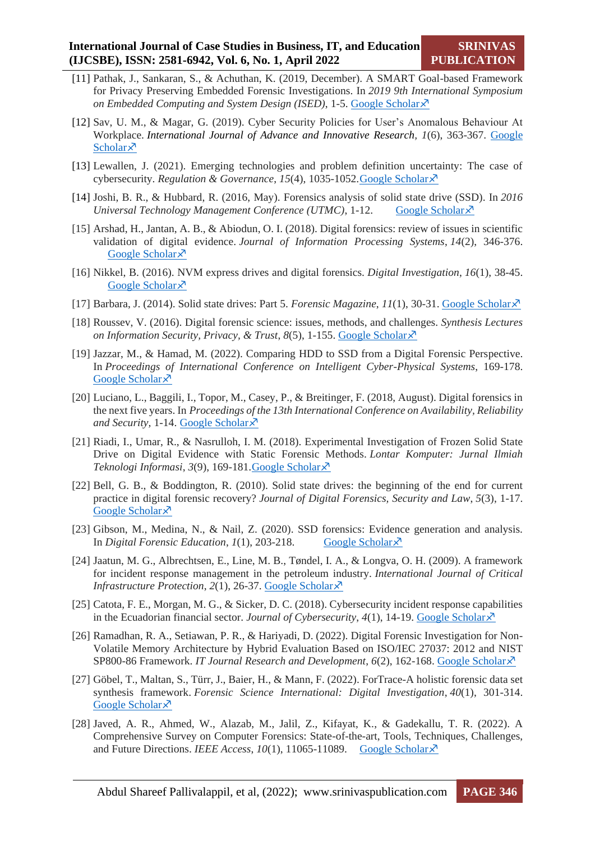- [11] Pathak, J., Sankaran, S., & Achuthan, K. (2019, December). A SMART Goal-based Framework for Privacy Preserving Embedded Forensic Investigations. In *2019 9th International Symposium on Embedded Computing and System Design (ISED)*, 1-5. [Google Scholar](https://scholar.google.com/scholar?hl=en&as_sdt=0%2C5&q=Pathak%2C+J.%2C+Sankaran%2C+S.%2C+%26+Achuthan%2C+K.+%282019%2C+December%29.+A+SMART+Goal-based+Framework+for+Privacy+Preserving+Embedded+Forensic+Investigations.+In+2019+9th+International+Symposium+on+Embedded+Computing+and+System+Design+%28ISED%29+%28pp.+1-5%29.+IEEE.&btnG=)
- [12] Sav, U. M., & Magar, G. (2019). Cyber Security Policies for User's Anomalous Behaviour At Workplace. *International Journal of Advance and Innovative Research, 1*(6), 363-367. [Google](https://scholar.google.com/scholar?hl=en&as_sdt=0%2C5&q=Sav%2C+U.+M.%2C+%26+Magar%2C+G.+%282019%29.+CYBER+SECURITY+POLICIES+FOR+USER%E2%80%99S+ANOMALOUS+BEHAVIOUR+AT+WORKPLACE.+Advance+and+Innovative+Research%2C+337.&btnG=)  [Scholar](https://scholar.google.com/scholar?hl=en&as_sdt=0%2C5&q=Sav%2C+U.+M.%2C+%26+Magar%2C+G.+%282019%29.+CYBER+SECURITY+POLICIES+FOR+USER%E2%80%99S+ANOMALOUS+BEHAVIOUR+AT+WORKPLACE.+Advance+and+Innovative+Research%2C+337.&btnG=)<sup> $\bar{x}$ </sup>
- [13] Lewallen, J. (2021). Emerging technologies and problem definition uncertainty: The case of cybersecurity. *Regulation & Governance*, *15*(4), 1035-1052[.Google Scholar](https://scholar.google.com/scholar?hl=en&as_sdt=0%2C5&q=Lewallen%2C+J.+%282021%29.+Emerging+technologies+and+problem+definition+uncertainty%3A+The+case+of+cybersecurity.+Regulation+%26+Governance%2C+15%284%29%2C+1035-1052.&btnG=)
- [14] Joshi, B. R., & Hubbard, R. (2016, May). Forensics analysis of solid state drive (SSD). In *2016 Universal Technology Management Conference (UTMC)*, 1-12. [Google Scholar](https://scholar.google.com/scholar?hl=en&as_sdt=0%2C5&q=Joshi%2C+B.+R.%2C+%26+Hubbard%2C+R.+%282016%2C+May%29.+Forensics+analysis+of+solid+state+drive+%28SSD%29.+In+2016+Universal+Technology+Management+Conference+%28UTMC%29+%28pp.+1-12%29.+researchgate.+net.&btnG=) $\chi$ <sup>3</sup>
- [15] Arshad, H., Jantan, A. B., & Abiodun, O. I. (2018). Digital forensics: review of issues in scientific validation of digital evidence. *Journal of Information Processing Systems*, *14*(2), 346-376. [Google Scholar](https://scholar.google.com/scholar?hl=en&as_sdt=0%2C5&q=Arshad%2C+H.%2C+Jantan%2C+A.+B.%2C+%26+Abiodun%2C+O.+I.+%282018%29.+Digital+forensics%3A+review+of+issues+in+scientific+validation+of+digital+evidence.+Journal+of+Information+Processing+Systems%2C+14%282%29%2C+346-376.&btnG=) ×
- [16] Nikkel, B. (2016). NVM express drives and digital forensics. *Digital Investigation*, *16*(1), 38-45. [Google Scholar](https://scholar.google.com/scholar?hl=en&as_sdt=0%2C5&q=Nikkel%2C+B.+%282016%29.+NVM+express+drives+and+digital+forensics.+Digital+Investigation%2C+16%2C+38-45.&btnG=)  $\lambda$
- [17] Barbara, J. (2014). Solid state drives: Part 5. *Forensic Magazine*, *11*(1), 30-31. [Google Scholar](https://scholar.google.com/scholar?hl=en&as_sdt=0%2C5&q=Barbara%2C+J.+%282014%29.+Solid+state+drives%3A+Part+5.+Forensic+Magazine%2C+11%281%29%2C+30-31.&btnG=)
- [18] Roussev, V. (2016). Digital forensic science: issues, methods, and challenges. *Synthesis Lectures on Information Security, Privacy, & Trust, 8(5), 1-155. [Google Scholar](https://scholar.google.com/scholar?hl=en&as_sdt=0%2C5&q=Roussev%2C+V.+%282016%29.+Digital+forensic+science%3A+issues%2C+methods%2C+and+challenges.+Synthesis+Lectures+on+Information+Security%2C+Privacy%2C+%26+Trust%2C+8%285%29%2C+1-155.&btnG=)* $\overline{X}$
- [19] Jazzar, M., & Hamad, M. (2022). Comparing HDD to SSD from a Digital Forensic Perspective. In *Proceedings of International Conference on Intelligent Cyber-Physical Systems*, 169-178. [Google Scholar](https://scholar.google.com/scholar?hl=en&as_sdt=0%2C5&q=Jazzar%2C+M.%2C+%26+Hamad%2C+M.+%282022%29.+Comparing+HDD+to+SSD+from+a+Digital+Forensic+Perspective.+In+Proceedings+of+International+Conference+on+Intelligent+Cyber-Physical+Systems+%28pp.+169-181%29.+Springer%2C+Singapore.&btnG=) ×
- [20] Luciano, L., Baggili, I., Topor, M., Casey, P., & Breitinger, F. (2018, August). Digital forensics in the next five years. In *Proceedings of the 13th International Conference on Availability, Reliability and Security,* 1-14. [Google Scholar](https://scholar.google.com/scholar?hl=en&as_sdt=0%2C5&q=Luciano%2C+L.%2C+Baggili%2C+I.%2C+Topor%2C+M.%2C+Casey%2C+P.%2C+%26+Breitinger%2C+F.+%282018%2C+August%29.+Digital+forensics+in+the+next+five+years.+In+Proceedings+of+the+13th+International+Conference+on+Availability%2C+Reliability+and+Security+%28pp.+1-14%29.&btnG=)
- [21] Riadi, I., Umar, R., & Nasrulloh, I. M. (2018). Experimental Investigation of Frozen Solid State Drive on Digital Evidence with Static Forensic Methods. *Lontar Komputer: Jurnal Ilmiah Teknologi Informasi*, *3*(9), 169-181[.Google Scholar](https://scholar.google.com/scholar?hl=en&as_sdt=0%2C5&q=Riadi%2C+I.%2C+Umar%2C+R.%2C+%26+Nasrulloh%2C+I.+M.+%282018%29.+Experimental+Investigation+of+Frozen+Solid+State+Drive+on+Digital+Evidence+with+Static+Forensic+Methods.+Lontar+Komputer%3A+Jurnal+Ilmiah+Teknologi+Informasi%2C+169-181.&btnG=)
- [22] Bell, G. B., & Boddington, R. (2010). Solid state drives: the beginning of the end for current practice in digital forensic recovery? *Journal of Digital Forensics, Security and Law*, *5*(3), 1-17. [Google Scholar](https://scholar.google.com/scholar?hl=en&as_sdt=0%2C5&q=Bell%2C+G.+B.%2C+%26+Boddington%2C+R.+%282010%29.+Solid+state+drives%3A+the+beginning+of+the+end+for+current+practice+in+digital+forensic+recovery%3F+Journal+of+Digital+Forensics%2C+Security+and+Law%2C+5%283%29%2C+1.&btnG=) ×
- [23] Gibson, M., Medina, N., & Nail, Z. (2020). SSD forensics: Evidence generation and analysis. In *Digital Forensic Education*, *1*(1), 203-218. [Google Scholar](https://scholar.google.com/scholar?hl=en&as_sdt=0%2C5&q=Gibson%2C+M.%2C+Medina%2C+N.%2C+%26+Nail%2C+Z.+%282020%29.+SSD+forensics%3A+Evidence+generation+and+analysis.+In+Digital+Forensic+Education+%28pp.+203-218%29.+Springer%2C+Cham.&btnG=)  $\lambda$
- [24] Jaatun, M. G., Albrechtsen, E., Line, M. B., Tøndel, I. A., & Longva, O. H. (2009). A framework for incident response management in the petroleum industry. *International Journal of Critical Infrastructure Protection, 2(1), 26-37[. Google Scholar](https://scholar.google.com/scholar?hl=en&as_sdt=0%2C5&q=Jaatun%2C+M.+G.%2C+Albrechtsen%2C+E.%2C+Line%2C+M.+B.%2C+T%C3%B8ndel%2C+I.+A.%2C+%26+Longva%2C+O.+H.+%282009%29.+A+framework+for+incident+response+management+in+the+petroleum+industry.+International+Journal+of+Critical+Infrastructure+Protection%2C&btnG=)*  $\lambda$
- [25] Catota, F. E., Morgan, M. G., & Sicker, D. C. (2018). Cybersecurity incident response capabilities in the Ecuadorian financial sector. *Journal of Cybersecurity*,  $4(1)$ , 14-19. [Google Scholar](https://scholar.google.com/scholar?hl=en&as_sdt=0%2C5&q=Catota%2C+F.+E.%2C+Morgan%2C+M.+G.%2C+%26+Sicker%2C+D.+C.+%282018%29.+Cybersecurity+incident+response+capabilities+in+the+Ecuadorian+financial+sector.+Journal+of+Cybersecurity%2C+4%281%29%2C+14-19.&btnG=) $\chi$ <sup>3</sup>
- [26] Ramadhan, R. A., Setiawan, P. R., & Hariyadi, D. (2022). Digital Forensic Investigation for Non-Volatile Memory Architecture by Hybrid Evaluation Based on ISO/IEC 27037: 2012 and NIST SP800-86 Framework. *IT Journal Research and Development*, *6*(2), 162-168. [Google Scholar](https://scholar.google.com/scholar?hl=en&as_sdt=0%2C5&q=Ramadhan%2C+R.+A.%2C+Setiawan%2C+P.+R.%2C+%26+Hariyadi%2C+D.+%282022%29.+Digital+Forensic+Investigation+for+Non-Volatile+Memory+Architecture+by+Hybrid+Evaluation+Based+on+ISO%2FIEC+27037%3A+2012+and+NIST+SP800-86+Framework.+IT+Journal+Research+and+Development&btnG=)
- [27] Göbel, T., Maltan, S., Türr, J., Baier, H., & Mann, F. (2022). ForTrace-A holistic forensic data set synthesis framework. *Forensic Science International: Digital Investigation*, *40*(1), 301-314. [Google Scholar](https://scholar.google.com/scholar?hl=en&as_sdt=0%2C5&q=G%C3%B6bel%2C+T.%2C+Maltan%2C+S.%2C+T%C3%BCrr%2C+J.%2C+Baier%2C+H.%2C+%26+Mann%2C+F.+%282022%29.+ForTrace-A+holistic+forensic+data+set+synthesis+framework.+Forensic+Science+International%3A+Digital+Investigation&btnG=) ×
- [28] Javed, A. R., Ahmed, W., Alazab, M., Jalil, Z., Kifayat, K., & Gadekallu, T. R. (2022). A Comprehensive Survey on Computer Forensics: State-of-the-art, Tools, Techniques, Challenges, and Future Directions. *IEEE Access*, *10*(1), 11065-11089. [Google Scholar](https://scholar.google.com/scholar?hl=en&as_sdt=0%2C5&q=Javed%2C+A.+R.%2C+Ahmed%2C+W.%2C+Alazab%2C+M.%2C+Jalil%2C+Z.%2C+Kifayat%2C+K.%2C+%26+Gadekallu%2C+T.+R.+%282022%29.+A+Comprehensive+Survey+on+Computer+Forensics%3A+State-of-the-art%2C+Tools%2C+Techniques%2C+Challenges%2C+and+Future+Directions&btnG=)  $\lambda$ <sup>7</sup>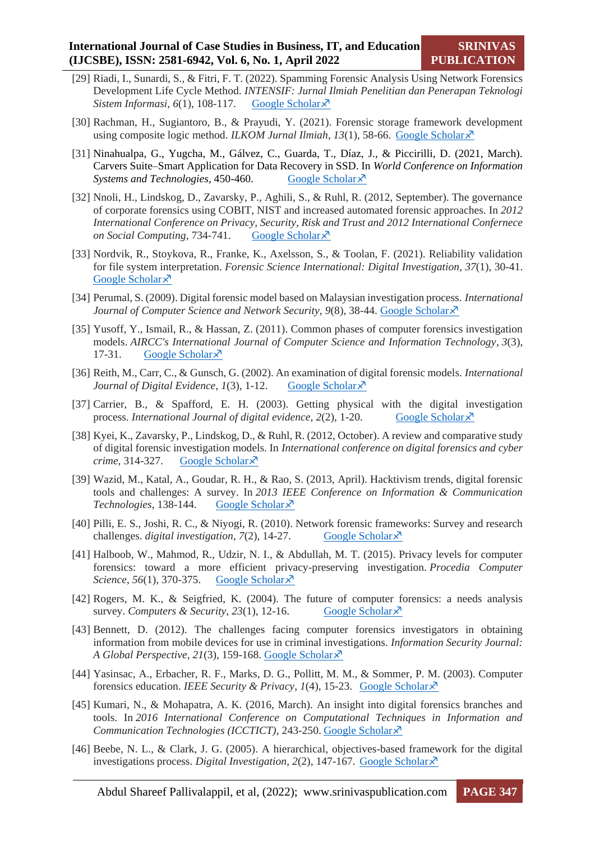- [29] Riadi, I., Sunardi, S., & Fitri, F. T. (2022). Spamming Forensic Analysis Using Network Forensics Development Life Cycle Method. *INTENSIF: Jurnal Ilmiah Penelitian dan Penerapan Teknologi Sistem Informasi*, *6*(1), 108-117. [Google Scholar](https://scholar.google.com/scholar?hl=en&as_sdt=0%2C5&q=Riadi%2C+I.%2C+Sunardi%2C+S.%2C+%26+Fitri%2C+F.+T.+%282022%29.+Spamming+Forensic+Analysis+Using+Network+Forensics+Development+Life+Cycle+Method.+INTENSIF&btnG=) $\lambda$ <sup>7</sup>
- [30] Rachman, H., Sugiantoro, B., & Prayudi, Y. (2021). Forensic storage framework development using composite logic method. *ILKOM Jurnal Ilmiah*, 13(1), 58-66. [Google Scholar](https://scholar.google.com/scholar?hl=en&as_sdt=0%2C5&q=Rachman%2C+H.%2C+Sugiantoro%2C+B.%2C+%26+Prayudi%2C+Y.+%282021%29.+Forensic+storage+framework+development+using+composite+logic+method.+ILKOM+&btnG=) $\lambda$
- [31] Ninahualpa, G., Yugcha, M., Gálvez, C., Guarda, T., Díaz, J., & Piccirilli, D. (2021, March). Carvers Suite–Smart Application for Data Recovery in SSD. In *World Conference on Information Systems and Technologies*, 450-460. [Google Scholar](https://scholar.google.com/scholar?hl=en&as_sdt=0%2C5&q=Ninahualpa%2C+G.%2C+Yugcha%2C+M.%2C+G%C3%A1lvez%2C+C.%2C+Guarda%2C+T.%2C+D%C3%ADaz%2C+J.%2C+%26+Piccirilli%2C+D.+%282021%2C+March%29.+Carvers+Suite%E2%80%93Smart+Application+for+Data+Recovery+in+SSD.+In+World+Conference+on+Information+Systems+and+Technologies&btnG=)  $\times$
- [32] Nnoli, H., Lindskog, D., Zavarsky, P., Aghili, S., & Ruhl, R. (2012, September). The governance of corporate forensics using COBIT, NIST and increased automated forensic approaches. In *2012 International Conference on Privacy, Security, Risk and Trust and 2012 International Confernece on Social Computing*, 734-741. [Google Scholar](https://scholar.google.com/scholar?hl=en&as_sdt=0%2C5&q=Nnoli%2C+H.%2C+Lindskog%2C+D.%2C+Zavarsky%2C+P.%2C+Aghili%2C+S.%2C+%26+Ruhl%2C+R.+%282012%2C+September%29.+The+governance+of+corporate+forensics+using+COBIT%2C+NIST+and+increased+automated+forensic+approaches.+&btnG=) $\lambda$ <sup>7</sup>
- [33] Nordvik, R., Stoykova, R., Franke, K., Axelsson, S., & Toolan, F. (2021). Reliability validation for file system interpretation. *Forensic Science International: Digital Investigation*, *37*(1), 30-41. [Google Scholar](https://scholar.google.com/scholar?hl=en&as_sdt=0%2C5&q=Nordvik%2C+R.%2C+Stoykova%2C+R.%2C+Franke%2C+K.%2C+Axelsson%2C+S.%2C+%26+Toolan%2C+F.+%282021%29.+Reliability+validation+for+file+system+interpretation.+Forensic+Science+International%3A+Digital+Investigation%2C+&btnG=)<sup> $\lambda$ </sup>
- [34] Perumal, S. (2009). Digital forensic model based on Malaysian investigation process. *International Journal of Computer Science and Network Security, 9(8), 38-44. [Google Scholar](https://scholar.google.com/scholar?hl=en&as_sdt=0%2C5&q=Perumal%2C+S.+%282009%29.+Digital+forensic+model+based+on+Malaysian+investigation+process.+International+Journal+of+Computer+Science+and+Network+Security&btnG=)* $\chi$ *<sup>7</sup>*
- [35] Yusoff, Y., Ismail, R., & Hassan, Z. (2011). Common phases of computer forensics investigation models. *AIRCC's International Journal of Computer Science and Information Technology*, *3*(3), 17-31. [Google Scholar](https://scholar.google.com/scholar?hl=en&as_sdt=0%2C5&q=Yusoff%2C+Y.%2C+Ismail%2C+R.%2C+%26+Hassan%2C+Z.+%282011%29.+Common+phases+of+computer+forensics+investigation+models&btnG=) $\lambda$ <sup>7</sup>
- [36] Reith, M., Carr, C., & Gunsch, G. (2002). An examination of digital forensic models. *International Journal of Digital Evidence*, *1*(3), 1-12. [Google Scholar](https://scholar.google.com/scholar?hl=en&as_sdt=0%2C5&q=Reith%2C+M.%2C+Carr%2C+C.%2C+%26+Gunsch%2C+G.+%282002%29.+An+examination+of+digital+forensic+models.+International+Journal+of+Digital+Evidence%2C+&btnG=)  $\times$
- [37] Carrier, B., & Spafford, E. H. (2003). Getting physical with the digital investigation process. *International Journal of digital evidence*,  $2(2)$ , 1-20. [Google Scholar](https://scholar.google.com/scholar?hl=en&as_sdt=0%2C5&q=Carrier%2C+B.%2C+%26+Spafford%2C+E.+H.+%282003%29.+Getting+physical+with+the+digital+investigation+process.+International+Journal+of+digital+evidence&btnG=) $\lambda^2$
- [38] Kyei, K., Zavarsky, P., Lindskog, D., & Ruhl, R. (2012, October). A review and comparative study of digital forensic investigation models. In *International conference on digital forensics and cyber crime*, 314-327. [Google Scholar](https://scholar.google.com/scholar?hl=en&as_sdt=0%2C5&q=Kyei%2C+K.%2C+Zavarsky%2C+P.%2C+Lindskog%2C+D.%2C+%26+Ruhl%2C+R.+%282012%2C+October%29.+A+review+and+comparative+study+of+digital+forensic+investigation+models&btnG=)  $\lambda$ <sup>7</sup>
- [39] Wazid, M., Katal, A., Goudar, R. H., & Rao, S. (2013, April). Hacktivism trends, digital forensic tools and challenges: A survey. In *2013 IEEE Conference on Information & Communication Technologies*, 138-144. [Google Scholar](https://scholar.google.com/scholar?hl=en&as_sdt=0%2C5&q=Wazid%2C+M.%2C+Katal%2C+A.%2C+Goudar%2C+R.+H.%2C+%26+Rao%2C+S.+%282013%2C+April%29.+Hacktivism+trends%2C+digital+forensic+tools+and+challenges&btnG=)
- [40] Pilli, E. S., Joshi, R. C., & Niyogi, R. (2010). Network forensic frameworks: Survey and research challenges. *digital investigation*,  $7(2)$ ,  $14-27$ . [Google Scholar](https://scholar.google.com/scholar?hl=en&as_sdt=0%2C5&q=Pilli%2C+E.+S.%2C+Joshi%2C+R.+C.%2C+%26+Niyogi%2C+R.+%282010%29.+Network+forensic+frameworks%3A+Survey+and+research+challenges.+digital+investigation&btnG=) $\times$
- [41] Halboob, W., Mahmod, R., Udzir, N. I., & Abdullah, M. T. (2015). Privacy levels for computer forensics: toward a more efficient privacy-preserving investigation. *Procedia Computer Science*, *56*(1), 370-375. [Google Scholar](https://scholar.google.com/scholar?hl=en&as_sdt=0%2C5&q=Halboob%2C+W.%2C+Mahmod%2C+R.%2C+Udzir%2C+N.+I.%2C+%26+Abdullah%2C+M.+T.+%282015%29.+Privacy+levels+for+computer+forensics%3A+toward+a+more+efficient+privacy-preserving+investigation&btnG=)  $\lambda$ <sup>7</sup>
- [42] Rogers, M. K., & Seigfried, K. (2004). The future of computer forensics: a needs analysis survey. *Computers & Security*, 23(1), 12-16. [Google Scholar](https://scholar.google.com/scholar?hl=en&as_sdt=0%2C5&q=Rogers%2C+M.+K.%2C+%26+Seigfried%2C+K.+%282004%29.+The+future+of+computer+forensics%3A+a+needs+analysis+survey.+Computers+%26+Security&btnG=) $\chi$ <sup>3</sup>
- [43] Bennett, D. (2012). The challenges facing computer forensics investigators in obtaining information from mobile devices for use in criminal investigations. *Information Security Journal: A Global Perspective*, *21*(3), 159-168. [Google Scholar](https://scholar.google.com/scholar?hl=en&as_sdt=0%2C5&q=Bennett%2C+D.+%282012%29.+The+challenges+facing+computer+forensics+investigators+in+obtaining+information+from+mobile+devices+for+use+in+criminal+investigations&btnG=)
- [44] Yasinsac, A., Erbacher, R. F., Marks, D. G., Pollitt, M. M., & Sommer, P. M. (2003). Computer forensics education. *IEEE Security & Privacy*, *1*(4), 15-23. [Google Scholar](https://scholar.google.com/scholar?hl=en&as_sdt=0%2C5&q=Yasinsac%2C+A.%2C+Erbacher%2C+R.+F.%2C+Marks%2C+D.+G.%2C+Pollitt%2C+M.+M.%2C+%26+Sommer%2C+P.+M.+%282003%29.+Computer+forensics+education.+IEEE+Security+%26+Privacy&btnG=)
- [45] Kumari, N., & Mohapatra, A. K. (2016, March). An insight into digital forensics branches and tools. In *2016 International Conference on Computational Techniques in Information and Communication Technologies (ICCTICT)*, 243-250. [Google Scholar](https://scholar.google.com/scholar?hl=en&as_sdt=0%2C5&q=Kumari%2C+N.%2C+%26+Mohapatra%2C+A.+K.+%282016%2C+March%29.+An+insight+into+digital+forensics+branches+and+tools.+In+2016+International+Conference+on+Computational+Techniques+in+Information+and+Communication+Technologies&btnG=)
- [46] Beebe, N. L., & Clark, J. G. (2005). A hierarchical, objectives-based framework for the digital investigations process. *Digital Investigation*,  $2(2)$ , 147-167. [Google Scholar](https://scholar.google.com/scholar?hl=en&as_sdt=0%2C5&q=Beebe%2C+N.+L.%2C+%26+Clark%2C+J.+G.+%282005%29.+A+hierarchical%2C+objectives-based+framework+for+the+digital+investigations+process.+Digital+Investigation&btnG=) $\lambda$ <sup>7</sup>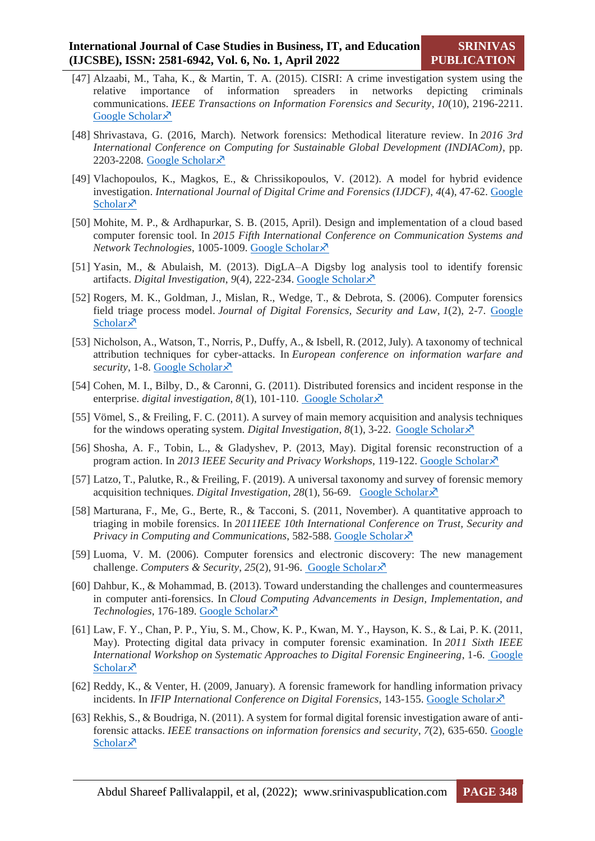- [47] Alzaabi, M., Taha, K., & Martin, T. A. (2015). CISRI: A crime investigation system using the relative importance of information spreaders in networks depicting criminals communications. *IEEE Transactions on Information Forensics and Security*, *10*(10), 2196-2211. [Google Scholar](https://scholar.google.com/scholar?hl=en&as_sdt=0%2C5&q=Alzaabi%2C+M.%2C+Taha%2C+K.%2C+%26+Martin%2C+T.+A.+%282015%29.+CISRI%3A+A+crime+investigation+system+using+the+relative+importance+of+information+spreaders+in+networks+depicting+criminals+communications&btnG=) ×
- [48] Shrivastava, G. (2016, March). Network forensics: Methodical literature review. In *2016 3rd International Conference on Computing for Sustainable Global Development (INDIACom)*, pp. 2203-2208. [Google Scholar](https://scholar.google.com/scholar?hl=en&as_sdt=0%2C5&q=Shrivastava%2C+G.+%282016%2C+March%29.+Network+forensics%3A+Methodical+literature+review.+In+2016+3rd+International+Conference+on+Computing+for+Sustainable+Global+Development+&btnG=) $\bar{x}$
- [49] Vlachopoulos, K., Magkos, E., & Chrissikopoulos, V. (2012). A model for hybrid evidence investigation. *International Journal of Digital Crime and Forensics (IJDCF)*, *4*(4), 47-62. [Google](https://scholar.google.com/scholar?hl=en&as_sdt=0%2C5&q=Vlachopoulos%2C+K.%2C+Magkos%2C+E.%2C+%26+Chrissikopoulos%2C+V.+%282012%29.+A+model+for+hybrid+evidence+investigation.+International+Journal+of+Digital+Crime+and+Forensics+&btnG=)  [Scholar](https://scholar.google.com/scholar?hl=en&as_sdt=0%2C5&q=Vlachopoulos%2C+K.%2C+Magkos%2C+E.%2C+%26+Chrissikopoulos%2C+V.+%282012%29.+A+model+for+hybrid+evidence+investigation.+International+Journal+of+Digital+Crime+and+Forensics+&btnG=) $\lambda$
- [50] Mohite, M. P., & Ardhapurkar, S. B. (2015, April). Design and implementation of a cloud based computer forensic tool. In *2015 Fifth International Conference on Communication Systems and Network Technologies*, 1005-1009. [Google Scholar](https://scholar.google.com/scholar?hl=en&as_sdt=0%2C5&q=Mohite%2C+M.+P.%2C+%26+Ardhapurkar%2C+S.+B.+%282015%2C+April%29.+Design+and+implementation+of+a+cloud+based+computer+forensic+tool.+In+2015+Fifth+International+Conference+on+Communication+&btnG=)
- [51] Yasin, M., & Abulaish, M. (2013). DigLA–A Digsby log analysis tool to identify forensic artifacts. *Digital Investigation*, *9*(4), 222-234. [Google Scholar](https://scholar.google.com/scholar?hl=en&as_sdt=0%2C5&q=Yasin%2C+M.%2C+%26+Abulaish%2C+M.+%282013%29.+DigLA%E2%80%93A+Digsby+log+analysis+tool+to+identify+forensic+artifacts.+Digital+Investigation&btnG=)
- [52] Rogers, M. K., Goldman, J., Mislan, R., Wedge, T., & Debrota, S. (2006). Computer forensics field triage process model. *Journal of Digital Forensics, Security and Law*, *1*(2), 2-7. [Google](https://scholar.google.com/scholar?hl=en&as_sdt=0%2C5&q=Rogers%2C+M.+K.%2C+Goldman%2C+J.%2C+Mislan%2C+R.%2C+Wedge%2C+T.%2C+%26+Debrota%2C+S.+%282006%29.+Computer+forensics+field+triage+process+model.+Journal+of+Digital+Forensics&btnG=)  [Scholar](https://scholar.google.com/scholar?hl=en&as_sdt=0%2C5&q=Rogers%2C+M.+K.%2C+Goldman%2C+J.%2C+Mislan%2C+R.%2C+Wedge%2C+T.%2C+%26+Debrota%2C+S.+%282006%29.+Computer+forensics+field+triage+process+model.+Journal+of+Digital+Forensics&btnG=) $\lambda$
- [53] Nicholson, A., Watson, T., Norris, P., Duffy, A., & Isbell, R. (2012, July). A taxonomy of technical attribution techniques for cyber-attacks. In *European conference on information warfare and security*, 1-8. [Google Scholar](https://scholar.google.com/scholar?hl=en&as_sdt=0%2C5&q=Nicholson%2C+A.%2C+Watson%2C+T.%2C+Norris%2C+P.%2C+Duffy%2C+A.%2C+%26+Isbell%2C+R.+%282012%2C+July%29.+A+taxonomy+of+technical+attribution+techniques+for+cyber+attacks&btnG=)
- [54] Cohen, M. I., Bilby, D., & Caronni, G. (2011). Distributed forensics and incident response in the enterprise. *digital investigation*, 8(1), 101-110. [Google Scholar](https://scholar.google.com/scholar?hl=en&as_sdt=0%2C5&q=Cohen%2C+M.+I.%2C+Bilby%2C+D.%2C+%26+Caronni%2C+G.+%282011%29.+Distributed+forensics+and+incident+response+in+the+enterprise.+digital+investigation&btnG=) $\lambda$ <sup>7</sup>
- [55] Vömel, S., & Freiling, F. C. (2011). A survey of main memory acquisition and analysis techniques for the windows operating system. *Digital Investigation*,  $8(1)$ ,  $3-22$ . [Google Scholar](https://scholar.google.com/scholar?hl=en&as_sdt=0%2C5&q=V%C3%B6mel%2C+S.%2C+%26+Freiling%2C+F.+C.+%282011%29.+A+survey+of+main+memory+acquisition+and+analysis+techniques+for+the+windows+operating+system&btnG=)  $\overline{X}$
- [56] Shosha, A. F., Tobin, L., & Gladyshev, P. (2013, May). Digital forensic reconstruction of a program action. In *2013 IEEE Security and Privacy Workshops*, 119-122. [Google Scholar](https://scholar.google.com/scholar?hl=en&as_sdt=0%2C5&q=Shosha%2C+A.+F.%2C+Tobin%2C+L.%2C+%26+Gladyshev%2C+P.+%282013%2C+May%29.+Digital+forensic+reconstruction+of+a+program+action.+In+2013+IEEE+Security+and+Privacy+Workshops&btnG=)
- [57] Latzo, T., Palutke, R., & Freiling, F. (2019). A universal taxonomy and survey of forensic memory acquisition techniques. *Digital Investigation*, 28(1), 56-69. [Google Scholar](https://scholar.google.com/scholar?hl=en&as_sdt=0%2C5&q=Latzo%2C+T.%2C+Palutke%2C+R.%2C+%26+Freiling%2C+F.+%282019%29.+A+universal+taxonomy+and+survey+of+forensic+memory+acquisition+techniques.+Digital+Investigation&btnG=) $\chi$ <sup>3</sup>
- [58] Marturana, F., Me, G., Berte, R., & Tacconi, S. (2011, November). A quantitative approach to triaging in mobile forensics. In *2011IEEE 10th International Conference on Trust, Security and Privacy in Computing and Communications*, 582-588. [Google Scholar](https://scholar.google.com/scholar?hl=en&as_sdt=0%2C5&q=Marturana%2C+F.%2C+Me%2C+G.%2C+Berte%2C+R.%2C+%26+Tacconi%2C+S.+%282011%2C+November%29.+A+quantitative+approach+to+triaging+in+mobile+forensics.&btnG=) $\times$
- [59] Luoma, V. M. (2006). Computer forensics and electronic discovery: The new management challenge. *Computers & Security*, *25*(2), 91-96. [Google Scholar](https://scholar.google.com/scholar?hl=en&as_sdt=0%2C5&q=Luoma%2C+V.+M.+%282006%29.+Computer+forensics+and+electronic+discovery%3A+The+new+management+challenge.+Computers+%26+Security&btnG=)
- [60] Dahbur, K., & Mohammad, B. (2013). Toward understanding the challenges and countermeasures in computer anti-forensics. In *Cloud Computing Advancements in Design, Implementation, and Technologies*, 176-189. [Google Scholar](https://scholar.google.com/scholar?hl=en&as_sdt=0%2C5&q=Dahbur%2C+K.%2C+%26+Mohammad%2C+B.+%282013%29.+Toward+understanding+the+challenges+and+countermeasures+in+computer+anti-forensics&btnG=)
- [61] Law, F. Y., Chan, P. P., Yiu, S. M., Chow, K. P., Kwan, M. Y., Hayson, K. S., & Lai, P. K. (2011, May). Protecting digital data privacy in computer forensic examination. In *2011 Sixth IEEE International Workshop on Systematic Approaches to Digital Forensic Engineering*, 1-6. [Google](https://scholar.google.com/scholar?hl=en&as_sdt=0%2C5&q=Law%2C+F.+Y.%2C+Chan%2C+P.+P.%2C+Yiu%2C+S.+M.%2C+Chow%2C+K.+P.%2C+Kwan%2C+M.+Y.%2C+Hayson%2C+K.+S.%2C+%26+Lai%2C+P.+K.+%282011%2C+May%29.+Protecting+digital+data+privacy+in+computer+forensic+examination&btnG=)   $Scholar\lambda$  $Scholar\lambda$
- [62] Reddy, K., & Venter, H. (2009, January). A forensic framework for handling information privacy incidents. In *IFIP International Conference on Digital Forensics*, 143-155. [Google Scholar](https://scholar.google.com/scholar?hl=en&as_sdt=0%2C5&q=Reddy%2C+K.%2C+%26+Venter%2C+H.+%282009%2C+January%29.+A+forensic+framework+for+handling+information+privacy+incidents.+In+IFIP+International+Conference+on+Digital+Forensics&btnG=) $\lambda$ <sup>5</sup>
- [63] Rekhis, S., & Boudriga, N. (2011). A system for formal digital forensic investigation aware of antiforensic attacks. *IEEE transactions on information forensics and security*, *7*(2), 635-650. [Google](https://scholar.google.com/scholar?hl=en&as_sdt=0%2C5&q=Rekhis%2C+S.%2C+%26+Boudriga%2C+N.+%282011%29.+A+system+for+formal+digital+forensic+investigation+aware+of+anti-forensic+attacks.+IEEE+transactions+on+information+forensics+and+security&btnG=)  [Scholar](https://scholar.google.com/scholar?hl=en&as_sdt=0%2C5&q=Rekhis%2C+S.%2C+%26+Boudriga%2C+N.+%282011%29.+A+system+for+formal+digital+forensic+investigation+aware+of+anti-forensic+attacks.+IEEE+transactions+on+information+forensics+and+security&btnG=)<sup> $\lambda$ </sup>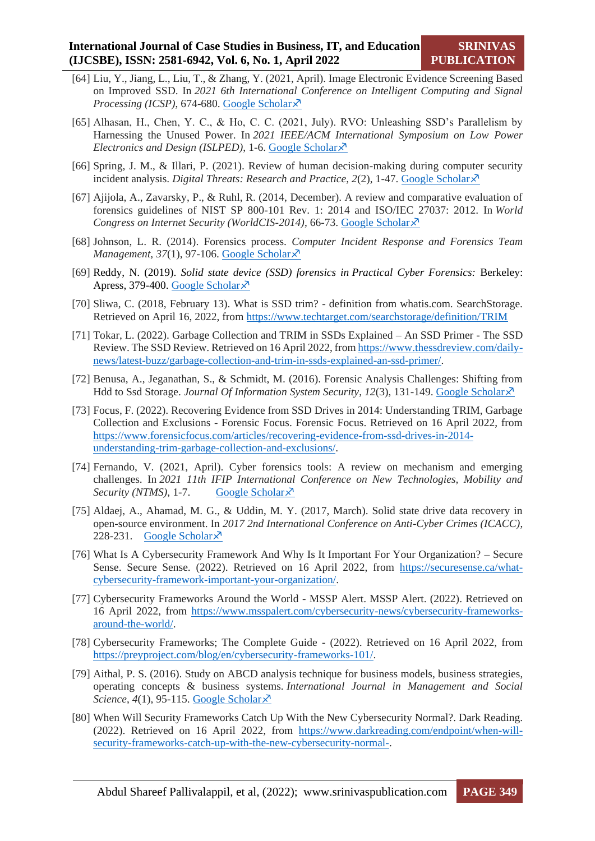- [64] Liu, Y., Jiang, L., Liu, T., & Zhang, Y. (2021, April). Image Electronic Evidence Screening Based on Improved SSD. In *2021 6th International Conference on Intelligent Computing and Signal Processing (ICSP)*, 674-680. [Google Scholar](https://scholar.google.com/scholar?hl=en&as_sdt=0%2C5&q=Liu%2C+Y.%2C+Jiang%2C+L.%2C+Liu%2C+T.%2C+%26+Zhang%2C+Y.+%282021%2C+April%29.+Image+Electronic+Evidence+Screening+Based+on+Improved+SSD.+In+2021+6th+International+Conference+on+Intelligent+Computing+and+Signal+Processing&btnG=) $\lambda$ <sup>7</sup>
- [65] Alhasan, H., Chen, Y. C., & Ho, C. C. (2021, July). RVO: Unleashing SSD's Parallelism by Harnessing the Unused Power. In *2021 IEEE/ACM International Symposium on Low Power Electronics and Design (ISLPED)*, 1-6. [Google Scholar](https://scholar.google.com/scholar?hl=en&as_sdt=0%2C5&q=Alhasan%2C+H.%2C+Chen%2C+Y.+C.%2C+%26+Ho%2C+C.+C.+%282021%2C+July%29.+RVO%3A+Unleashing+SSD%E2%80%99s+Parallelism+by+Harnessing+the+Unused+Power.+In+2021+IEEE%2FACM+International+Symposium+on+Low+Power+Electronics+and+Design+%28ISLPED&btnG=)
- [66] Spring, J. M., & Illari, P. (2021). Review of human decision-making during computer security incident analysis. *Digital Threats: Research and Practice*,  $2(2)$ , 1-47. [Google Scholar](https://scholar.google.com/scholar?hl=en&as_sdt=0%2C5&q=Spring%2C+J.+M.%2C+%26+Illari%2C+P.+%282021%29.+Review+of+human+decision-making+during+computer+security+incident+analysis.+Digital+Threats%3A+Research+and+Practice%2C+2%282%29%2C+1-47.&btnG=) $\lambda$ <sup>5</sup>
- [67] Ajijola, A., Zavarsky, P., & Ruhl, R. (2014, December). A review and comparative evaluation of forensics guidelines of NIST SP 800-101 Rev. 1: 2014 and ISO/IEC 27037: 2012. In *World Congress on Internet Security (WorldCIS-2014)*, 66-73. [Google Scholar](https://scholar.google.com/scholar?hl=en&as_sdt=0%2C5&q=Ajijola%2C+A.%2C+Zavarsky%2C+P.%2C+%26+Ruhl%2C+R.+%282014%2C+December%29.+A+review+and+comparative+evaluation+of+forensics+guidelines+of+NIST+SP+800-101+Rev.+1%3A+2014+and+ISO%2FIEC+27037%3A+2012.+In+World+Congress+on+Internet+Security+%28WorldCIS-2014%29+%28pp.+66-73%29.+IEEE.&btnG=)
- [68] Johnson, L. R. (2014). Forensics process. *Computer Incident Response and Forensics Team Management, 37(1), 97-106. [Google Scholar](https://scholar.google.com/scholar?hl=en&as_sdt=0%2C5&q=Johnson%2C+L.+R.+%282014%29.+Forensics+process.+Computer+Incident+Response+and+Forensics+Team+Management&btnG=)* $\lambda$
- [69] Reddy, N. (2019). *Solid state device (SSD) forensics in Practical Cyber Forensics:* Berkeley: Apress, 379-400. [Google Scholar](https://scholar.google.com/scholar?hl=en&as_sdt=0%2C5&q=Reddy%2C+N.+%282019%29.+Solid+state+device+%28SSD%29+forensics.+In+Practical+Cyber+Forensics+%28pp.+379-400%29.+Apress%2C+Berkeley%2C+CA.&btnG=)  $\lambda$
- [70] Sliwa, C. (2018, February 13). What is SSD trim? definition from whatis.com. SearchStorage. Retrieved on April 16, 2022, from<https://www.techtarget.com/searchstorage/definition/TRIM>
- [71] Tokar, L. (2022). Garbage Collection and TRIM in SSDs Explained An SSD Primer The SSD Review. The SSD Review. Retrieved on 16 April 2022, fro[m https://www.thessdreview.com/daily](https://www.thessdreview.com/daily-news/latest-buzz/garbage-collection-and-trim-in-ssds-explained-an-ssd-primer/)[news/latest-buzz/garbage-collection-and-trim-in-ssds-explained-an-ssd-primer/.](https://www.thessdreview.com/daily-news/latest-buzz/garbage-collection-and-trim-in-ssds-explained-an-ssd-primer/)
- [72] Benusa, A., Jeganathan, S., & Schmidt, M. (2016). Forensic Analysis Challenges: Shifting from Hdd to Ssd Storage. *Journal Of Information System Security*, *12*(3), 131-149. [Google Scholar](https://scholar.google.com/scholar?hl=en&as_sdt=0%2C5&q=Benusa%2C+A.%2C+Jeganathan%2C+S.%2C+%26+Schmidt%2C+M.+%282016%29.+FORENSIC+ANALYSIS+CHALLENGES%3A+SHIFTING+FROM+HDD+TO+SSD+STORAGE.+Journal+of+Information+System+Security%2C+12%283%29.&btnG=)
- [73] Focus, F. (2022). Recovering Evidence from SSD Drives in 2014: Understanding TRIM, Garbage Collection and Exclusions - Forensic Focus. Forensic Focus. Retrieved on 16 April 2022, from [https://www.forensicfocus.com/articles/recovering-evidence-from-ssd-drives-in-2014](https://www.forensicfocus.com/articles/recovering-evidence-from-ssd-drives-in-2014-understanding-trim-garbage-collection-and-exclusions/) [understanding-trim-garbage-collection-and-exclusions/.](https://www.forensicfocus.com/articles/recovering-evidence-from-ssd-drives-in-2014-understanding-trim-garbage-collection-and-exclusions/)
- [74] Fernando, V. (2021, April). Cyber forensics tools: A review on mechanism and emerging challenges. In *2021 11th IFIP International Conference on New Technologies, Mobility and Security (NTMS)*, 1-7. [Google Scholar](https://scholar.google.com/scholar?hl=en&as_sdt=0%2C5&q=Fernando%2C+V.+%282021%2C+April%29.+Cyber+forensics+tools%3A+A+review+on+mechanism+and+emerging+challenges.+In+2021+11th+IFIP+International+Conference+on+New+Technologies%2C+Mobility+and+Security+%28NTMS%29+%28pp.+1-7%29.+IEEE.&btnG=) $\chi$ <sup>7</sup>
- [75] Aldaej, A., Ahamad, M. G., & Uddin, M. Y. (2017, March). Solid state drive data recovery in open-source environment. In *2017 2nd International Conference on Anti-Cyber Crimes (ICACC)*, 228-231. [Google Scholar](https://scholar.google.com/scholar?hl=en&as_sdt=0%2C5&q=Aldaej%2C+A.%2C+Ahamad%2C+M.+G.%2C+%26+Uddin%2C+M.+Y.+%282017%2C+March%29.+Solid+state+drive+data+recovery+in+open+source+environment.+In+2017+2nd+International+Conference+on+Anti-Cyber+Crimes+%28ICACC%29+%28pp.+228-231%29.+IEEE.&btnG=) $\overline{x}$
- [76] What Is A Cybersecurity Framework And Why Is It Important For Your Organization? Secure Sense. Secure Sense. (2022). Retrieved on 16 April 2022, from [https://securesense.ca/what](https://securesense.ca/what-cybersecurity-framework-important-your-organization/)[cybersecurity-framework-important-your-organization/.](https://securesense.ca/what-cybersecurity-framework-important-your-organization/)
- [77] Cybersecurity Frameworks Around the World MSSP Alert. MSSP Alert. (2022). Retrieved on 16 April 2022, from [https://www.msspalert.com/cybersecurity-news/cybersecurity-frameworks](https://www.msspalert.com/cybersecurity-news/cybersecurity-frameworks-around-the-world/)[around-the-world/.](https://www.msspalert.com/cybersecurity-news/cybersecurity-frameworks-around-the-world/)
- [78] Cybersecurity Frameworks; The Complete Guide (2022). Retrieved on 16 April 2022, from [https://preyproject.com/blog/en/cybersecurity-frameworks-101/.](https://preyproject.com/blog/en/cybersecurity-frameworks-101/)
- [79] Aithal, P. S. (2016). Study on ABCD analysis technique for business models, business strategies, operating concepts & business systems. *International Journal in Management and Social Science*,  $4(1)$ , 95-115. [Google Scholar](https://scholar.google.com/scholar?hl=en&as_sdt=0%2C5&q=Aithal%2C+P.+S.+%282016%29.+Study+on+ABCD+analysis+technique+for+business+models%2C+business+strategies%2C+operating+concepts+%26+business+systems.+International+Journal+in+Management+and+Social+Science%2C+4%281%29%2C+95-115.&btnG=) $\chi$ <sup>3</sup>
- [80] When Will Security Frameworks Catch Up With the New Cybersecurity Normal?. Dark Reading. (2022). Retrieved on 16 April 2022, from [https://www.darkreading.com/endpoint/when-will](https://www.darkreading.com/endpoint/when-will-security-frameworks-catch-up-with-the-new-cybersecurity-normal-)[security-frameworks-catch-up-with-the-new-cybersecurity-normal-.](https://www.darkreading.com/endpoint/when-will-security-frameworks-catch-up-with-the-new-cybersecurity-normal-)